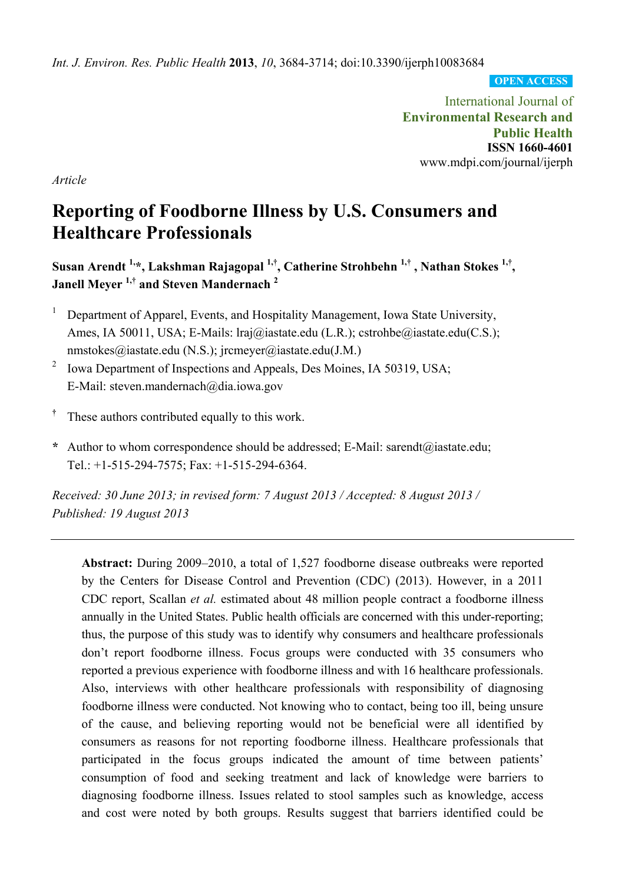*Int. J. Environ. Res. Public Health* **2013**, *10*, 3684-3714; doi:10.3390/ijerph10083684

**OPEN ACCESS**

International Journal of **Environmental Research and Public Health ISSN 1660-4601**  www.mdpi.com/journal/ijerph

*Article* 

# **Reporting of Foodborne Illness by U.S. Consumers and Healthcare Professionals**

**Susan Arendt 1,\*, Lakshman Rajagopal 1,†, Catherine Strohbehn 1,† , Nathan Stokes 1,†, Janell Meyer 1,† and Steven Mandernach 2** 

- 1 Department of Apparel, Events, and Hospitality Management, Iowa State University, Ames, IA 50011, USA; E-Mails: lraj@iastate.edu (L.R.); cstrohbe@iastate.edu(C.S.); nmstokes@iastate.edu (N.S.); jrcmeyer@iastate.edu(J.M.)
- 2 Iowa Department of Inspections and Appeals, Des Moines, IA 50319, USA; E-Mail: steven.mandernach@dia.iowa.gov
- **†** These authors contributed equally to this work.
- **\*** Author to whom correspondence should be addressed; E-Mail: sarendt@iastate.edu; Tel.: +1-515-294-7575; Fax: +1-515-294-6364.

*Received: 30 June 2013; in revised form: 7 August 2013 / Accepted: 8 August 2013 / Published: 19 August 2013* 

**Abstract:** During 2009–2010, a total of 1,527 foodborne disease outbreaks were reported by the Centers for Disease Control and Prevention (CDC) (2013). However, in a 2011 CDC report, Scallan *et al.* estimated about 48 million people contract a foodborne illness annually in the United States. Public health officials are concerned with this under-reporting; thus, the purpose of this study was to identify why consumers and healthcare professionals don't report foodborne illness. Focus groups were conducted with 35 consumers who reported a previous experience with foodborne illness and with 16 healthcare professionals. Also, interviews with other healthcare professionals with responsibility of diagnosing foodborne illness were conducted. Not knowing who to contact, being too ill, being unsure of the cause, and believing reporting would not be beneficial were all identified by consumers as reasons for not reporting foodborne illness. Healthcare professionals that participated in the focus groups indicated the amount of time between patients' consumption of food and seeking treatment and lack of knowledge were barriers to diagnosing foodborne illness. Issues related to stool samples such as knowledge, access and cost were noted by both groups. Results suggest that barriers identified could be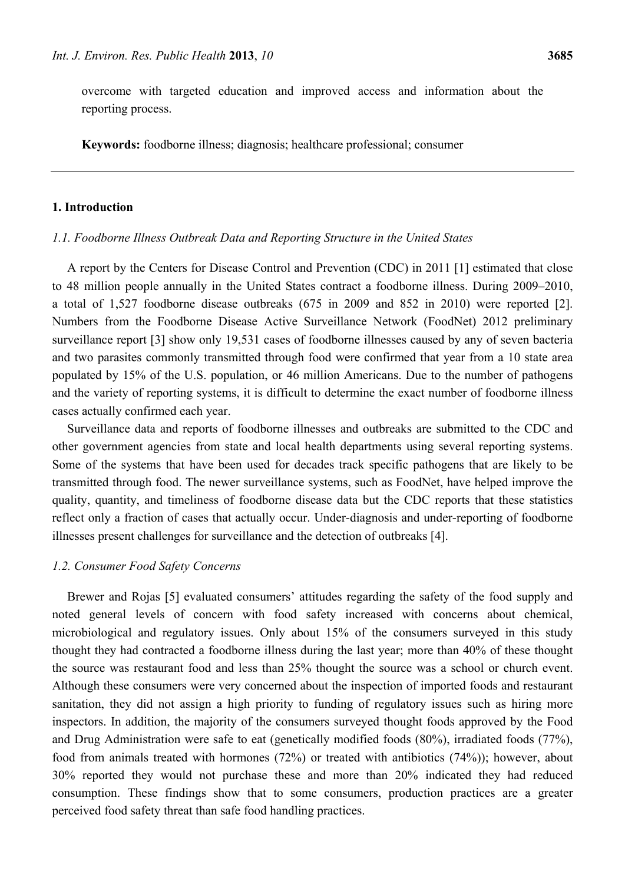overcome with targeted education and improved access and information about the reporting process.

**Keywords:** foodborne illness; diagnosis; healthcare professional; consumer

## **1. Introduction**

#### *1.1. Foodborne Illness Outbreak Data and Reporting Structure in the United States*

A report by the Centers for Disease Control and Prevention (CDC) in 2011 [1] estimated that close to 48 million people annually in the United States contract a foodborne illness. During 2009–2010, a total of 1,527 foodborne disease outbreaks (675 in 2009 and 852 in 2010) were reported [2]. Numbers from the Foodborne Disease Active Surveillance Network (FoodNet) 2012 preliminary surveillance report [3] show only 19,531 cases of foodborne illnesses caused by any of seven bacteria and two parasites commonly transmitted through food were confirmed that year from a 10 state area populated by 15% of the U.S. population, or 46 million Americans. Due to the number of pathogens and the variety of reporting systems, it is difficult to determine the exact number of foodborne illness cases actually confirmed each year.

Surveillance data and reports of foodborne illnesses and outbreaks are submitted to the CDC and other government agencies from state and local health departments using several reporting systems. Some of the systems that have been used for decades track specific pathogens that are likely to be transmitted through food. The newer surveillance systems, such as FoodNet, have helped improve the quality, quantity, and timeliness of foodborne disease data but the CDC reports that these statistics reflect only a fraction of cases that actually occur. Under-diagnosis and under-reporting of foodborne illnesses present challenges for surveillance and the detection of outbreaks [4].

#### *1.2. Consumer Food Safety Concerns*

Brewer and Rojas [5] evaluated consumers' attitudes regarding the safety of the food supply and noted general levels of concern with food safety increased with concerns about chemical, microbiological and regulatory issues. Only about 15% of the consumers surveyed in this study thought they had contracted a foodborne illness during the last year; more than 40% of these thought the source was restaurant food and less than 25% thought the source was a school or church event. Although these consumers were very concerned about the inspection of imported foods and restaurant sanitation, they did not assign a high priority to funding of regulatory issues such as hiring more inspectors. In addition, the majority of the consumers surveyed thought foods approved by the Food and Drug Administration were safe to eat (genetically modified foods (80%), irradiated foods (77%), food from animals treated with hormones (72%) or treated with antibiotics (74%)); however, about 30% reported they would not purchase these and more than 20% indicated they had reduced consumption. These findings show that to some consumers, production practices are a greater perceived food safety threat than safe food handling practices.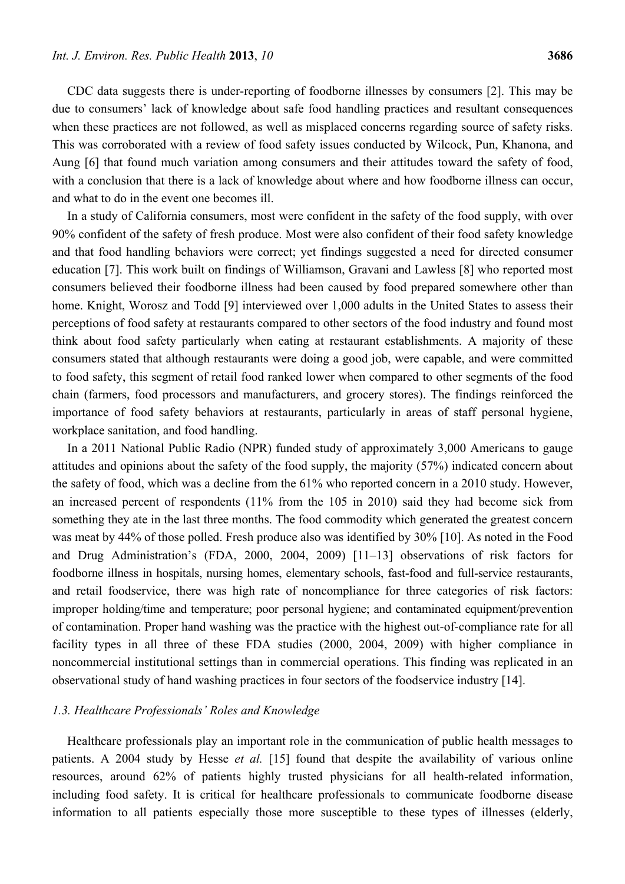CDC data suggests there is under-reporting of foodborne illnesses by consumers [2]. This may be due to consumers' lack of knowledge about safe food handling practices and resultant consequences when these practices are not followed, as well as misplaced concerns regarding source of safety risks. This was corroborated with a review of food safety issues conducted by Wilcock, Pun, Khanona, and Aung [6] that found much variation among consumers and their attitudes toward the safety of food, with a conclusion that there is a lack of knowledge about where and how foodborne illness can occur. and what to do in the event one becomes ill.

In a study of California consumers, most were confident in the safety of the food supply, with over 90% confident of the safety of fresh produce. Most were also confident of their food safety knowledge and that food handling behaviors were correct; yet findings suggested a need for directed consumer education [7]. This work built on findings of Williamson, Gravani and Lawless [8] who reported most consumers believed their foodborne illness had been caused by food prepared somewhere other than home. Knight, Worosz and Todd [9] interviewed over 1,000 adults in the United States to assess their perceptions of food safety at restaurants compared to other sectors of the food industry and found most think about food safety particularly when eating at restaurant establishments. A majority of these consumers stated that although restaurants were doing a good job, were capable, and were committed to food safety, this segment of retail food ranked lower when compared to other segments of the food chain (farmers, food processors and manufacturers, and grocery stores). The findings reinforced the importance of food safety behaviors at restaurants, particularly in areas of staff personal hygiene, workplace sanitation, and food handling.

In a 2011 National Public Radio (NPR) funded study of approximately 3,000 Americans to gauge attitudes and opinions about the safety of the food supply, the majority (57%) indicated concern about the safety of food, which was a decline from the 61% who reported concern in a 2010 study. However, an increased percent of respondents (11% from the 105 in 2010) said they had become sick from something they ate in the last three months. The food commodity which generated the greatest concern was meat by 44% of those polled. Fresh produce also was identified by 30% [10]. As noted in the Food and Drug Administration's (FDA, 2000, 2004, 2009) [11–13] observations of risk factors for foodborne illness in hospitals, nursing homes, elementary schools, fast-food and full-service restaurants, and retail foodservice, there was high rate of noncompliance for three categories of risk factors: improper holding/time and temperature; poor personal hygiene; and contaminated equipment/prevention of contamination. Proper hand washing was the practice with the highest out-of-compliance rate for all facility types in all three of these FDA studies (2000, 2004, 2009) with higher compliance in noncommercial institutional settings than in commercial operations. This finding was replicated in an observational study of hand washing practices in four sectors of the foodservice industry [14].

## *1.3. Healthcare Professionals' Roles and Knowledge*

Healthcare professionals play an important role in the communication of public health messages to patients. A 2004 study by Hesse *et al.* [15] found that despite the availability of various online resources, around 62% of patients highly trusted physicians for all health-related information, including food safety. It is critical for healthcare professionals to communicate foodborne disease information to all patients especially those more susceptible to these types of illnesses (elderly,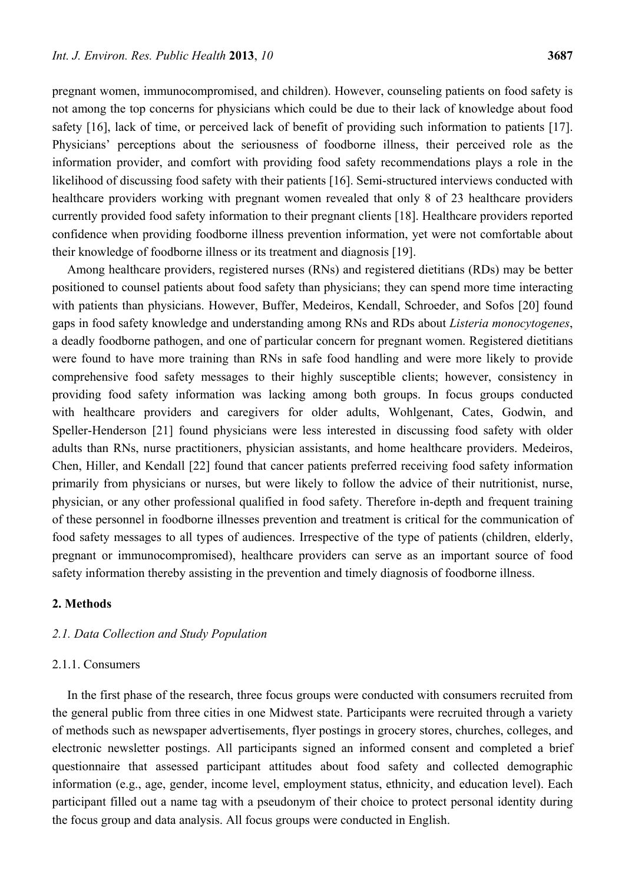pregnant women, immunocompromised, and children). However, counseling patients on food safety is not among the top concerns for physicians which could be due to their lack of knowledge about food safety [16], lack of time, or perceived lack of benefit of providing such information to patients [17]. Physicians' perceptions about the seriousness of foodborne illness, their perceived role as the information provider, and comfort with providing food safety recommendations plays a role in the likelihood of discussing food safety with their patients [16]. Semi-structured interviews conducted with healthcare providers working with pregnant women revealed that only 8 of 23 healthcare providers currently provided food safety information to their pregnant clients [18]. Healthcare providers reported confidence when providing foodborne illness prevention information, yet were not comfortable about their knowledge of foodborne illness or its treatment and diagnosis [19].

Among healthcare providers, registered nurses (RNs) and registered dietitians (RDs) may be better positioned to counsel patients about food safety than physicians; they can spend more time interacting with patients than physicians. However, Buffer, Medeiros, Kendall, Schroeder, and Sofos [20] found gaps in food safety knowledge and understanding among RNs and RDs about *Listeria monocytogenes*, a deadly foodborne pathogen, and one of particular concern for pregnant women. Registered dietitians were found to have more training than RNs in safe food handling and were more likely to provide comprehensive food safety messages to their highly susceptible clients; however, consistency in providing food safety information was lacking among both groups. In focus groups conducted with healthcare providers and caregivers for older adults, Wohlgenant, Cates, Godwin, and Speller-Henderson [21] found physicians were less interested in discussing food safety with older adults than RNs, nurse practitioners, physician assistants, and home healthcare providers. Medeiros, Chen, Hiller, and Kendall [22] found that cancer patients preferred receiving food safety information primarily from physicians or nurses, but were likely to follow the advice of their nutritionist, nurse, physician, or any other professional qualified in food safety. Therefore in-depth and frequent training of these personnel in foodborne illnesses prevention and treatment is critical for the communication of food safety messages to all types of audiences. Irrespective of the type of patients (children, elderly, pregnant or immunocompromised), healthcare providers can serve as an important source of food safety information thereby assisting in the prevention and timely diagnosis of foodborne illness.

# **2. Methods**

#### *2.1. Data Collection and Study Population*

## 2.1.1. Consumers

In the first phase of the research, three focus groups were conducted with consumers recruited from the general public from three cities in one Midwest state. Participants were recruited through a variety of methods such as newspaper advertisements, flyer postings in grocery stores, churches, colleges, and electronic newsletter postings. All participants signed an informed consent and completed a brief questionnaire that assessed participant attitudes about food safety and collected demographic information (e.g., age, gender, income level, employment status, ethnicity, and education level). Each participant filled out a name tag with a pseudonym of their choice to protect personal identity during the focus group and data analysis. All focus groups were conducted in English.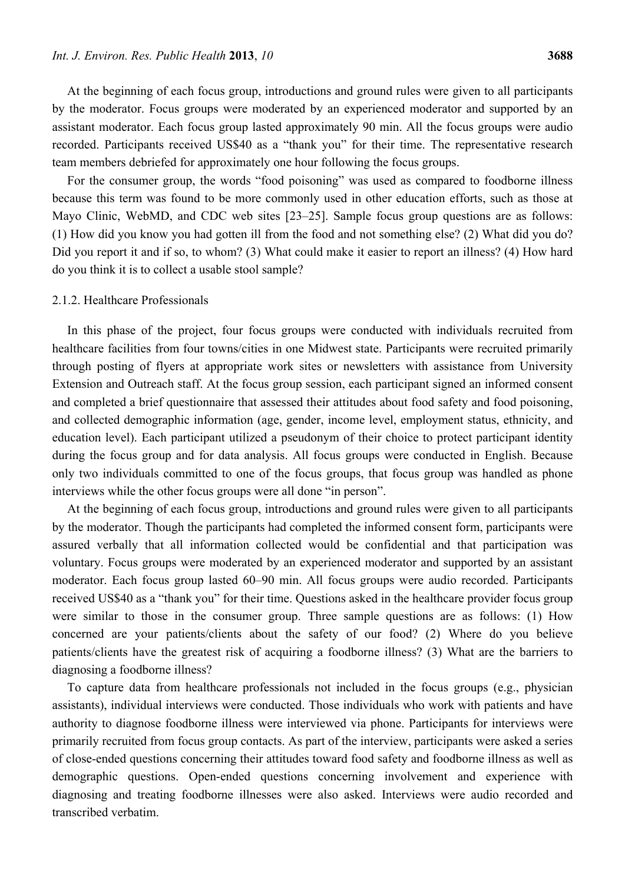At the beginning of each focus group, introductions and ground rules were given to all participants by the moderator. Focus groups were moderated by an experienced moderator and supported by an assistant moderator. Each focus group lasted approximately 90 min. All the focus groups were audio recorded. Participants received US\$40 as a "thank you" for their time. The representative research team members debriefed for approximately one hour following the focus groups.

For the consumer group, the words "food poisoning" was used as compared to foodborne illness because this term was found to be more commonly used in other education efforts, such as those at Mayo Clinic, WebMD, and CDC web sites [23–25]. Sample focus group questions are as follows: (1) How did you know you had gotten ill from the food and not something else? (2) What did you do? Did you report it and if so, to whom? (3) What could make it easier to report an illness? (4) How hard do you think it is to collect a usable stool sample?

### 2.1.2. Healthcare Professionals

In this phase of the project, four focus groups were conducted with individuals recruited from healthcare facilities from four towns/cities in one Midwest state. Participants were recruited primarily through posting of flyers at appropriate work sites or newsletters with assistance from University Extension and Outreach staff. At the focus group session, each participant signed an informed consent and completed a brief questionnaire that assessed their attitudes about food safety and food poisoning, and collected demographic information (age, gender, income level, employment status, ethnicity, and education level). Each participant utilized a pseudonym of their choice to protect participant identity during the focus group and for data analysis. All focus groups were conducted in English. Because only two individuals committed to one of the focus groups, that focus group was handled as phone interviews while the other focus groups were all done "in person".

At the beginning of each focus group, introductions and ground rules were given to all participants by the moderator. Though the participants had completed the informed consent form, participants were assured verbally that all information collected would be confidential and that participation was voluntary. Focus groups were moderated by an experienced moderator and supported by an assistant moderator. Each focus group lasted 60–90 min. All focus groups were audio recorded. Participants received US\$40 as a "thank you" for their time. Questions asked in the healthcare provider focus group were similar to those in the consumer group. Three sample questions are as follows: (1) How concerned are your patients/clients about the safety of our food? (2) Where do you believe patients/clients have the greatest risk of acquiring a foodborne illness? (3) What are the barriers to diagnosing a foodborne illness?

To capture data from healthcare professionals not included in the focus groups (e.g., physician assistants), individual interviews were conducted. Those individuals who work with patients and have authority to diagnose foodborne illness were interviewed via phone. Participants for interviews were primarily recruited from focus group contacts. As part of the interview, participants were asked a series of close-ended questions concerning their attitudes toward food safety and foodborne illness as well as demographic questions. Open-ended questions concerning involvement and experience with diagnosing and treating foodborne illnesses were also asked. Interviews were audio recorded and transcribed verbatim.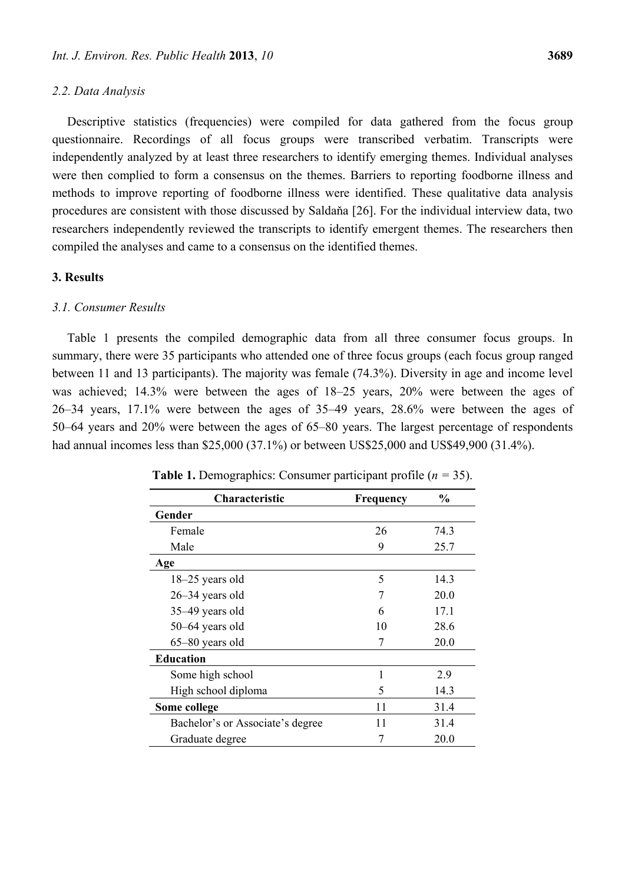#### *2.2. Data Analysis*

Descriptive statistics (frequencies) were compiled for data gathered from the focus group questionnaire. Recordings of all focus groups were transcribed verbatim. Transcripts were independently analyzed by at least three researchers to identify emerging themes. Individual analyses were then complied to form a consensus on the themes. Barriers to reporting foodborne illness and methods to improve reporting of foodborne illness were identified. These qualitative data analysis procedures are consistent with those discussed by Saldaňa [26]. For the individual interview data, two researchers independently reviewed the transcripts to identify emergent themes. The researchers then compiled the analyses and came to a consensus on the identified themes.

## **3. Results**

#### *3.1. Consumer Results*

Table 1 presents the compiled demographic data from all three consumer focus groups. In summary, there were 35 participants who attended one of three focus groups (each focus group ranged between 11 and 13 participants). The majority was female (74.3%). Diversity in age and income level was achieved; 14.3% were between the ages of 18–25 years, 20% were between the ages of 26–34 years, 17.1% were between the ages of 35–49 years, 28.6% were between the ages of 50–64 years and 20% were between the ages of 65–80 years. The largest percentage of respondents had annual incomes less than \$25,000 (37.1%) or between US\$25,000 and US\$49,900 (31.4%).

| <b>Characteristic</b>            | Frequency | $\%$ |
|----------------------------------|-----------|------|
| Gender                           |           |      |
| Female                           | 26        | 74.3 |
| Male                             | 9         | 25.7 |
| Age                              |           |      |
| 18-25 years old                  | 5         | 14.3 |
| $26 - 34$ years old              | 7         | 20.0 |
| 35–49 years old                  | 6         | 17.1 |
| 50–64 years old                  | 10        | 28.6 |
| 65-80 years old                  | 7         | 20.0 |
| <b>Education</b>                 |           |      |
| Some high school                 |           | 2.9  |
| High school diploma              | 5         | 14.3 |
| Some college                     | 11        | 31.4 |
| Bachelor's or Associate's degree | 11        | 31.4 |
| Graduate degree                  |           | 20.0 |

**Table 1.** Demographics: Consumer participant profile (*n =* 35).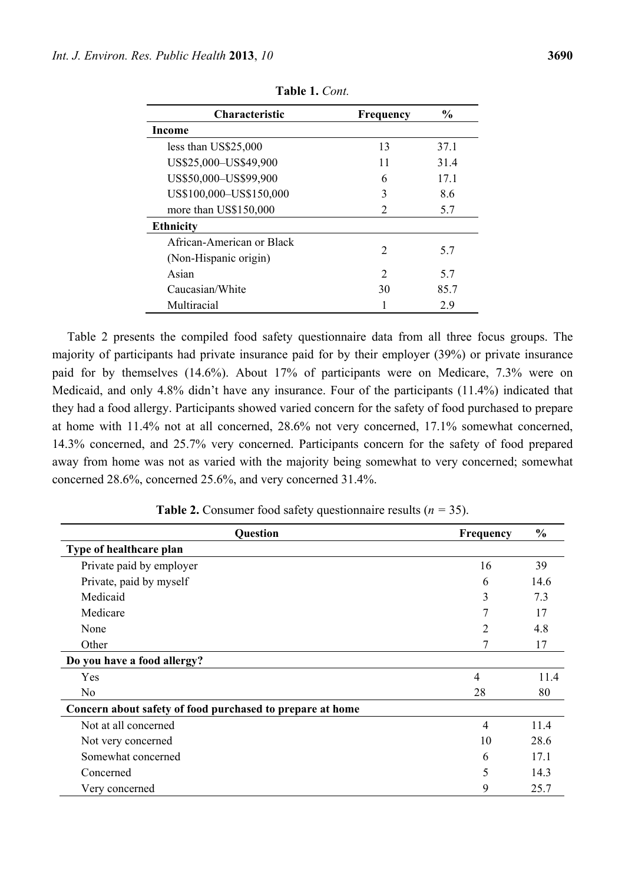| <b>Characteristic</b>                              | Frequency     | $\frac{6}{9}$ |
|----------------------------------------------------|---------------|---------------|
| Income                                             |               |               |
| less than US\$25,000                               | 13            | 37.1          |
| US\$25,000-US\$49,900                              | 11            | 314           |
| US\$50,000-US\$99,900                              | 6             | 17.1          |
| US\$100,000-US\$150,000                            | 3             | 8.6           |
| more than US\$150,000                              | $\mathcal{L}$ | 5.7           |
| <b>Ethnicity</b>                                   |               |               |
| African-American or Black<br>(Non-Hispanic origin) | $\mathcal{D}$ | 5.7           |
| Asian                                              | $\mathcal{D}$ | 5.7           |
| Caucasian/White                                    | 30            | 857           |
| Multiracial                                        |               | 2.9           |

**Table 1.** *Cont.* 

Table 2 presents the compiled food safety questionnaire data from all three focus groups. The majority of participants had private insurance paid for by their employer (39%) or private insurance paid for by themselves (14.6%). About 17% of participants were on Medicare, 7.3% were on Medicaid, and only 4.8% didn't have any insurance. Four of the participants (11.4%) indicated that they had a food allergy. Participants showed varied concern for the safety of food purchased to prepare at home with 11.4% not at all concerned, 28.6% not very concerned, 17.1% somewhat concerned, 14.3% concerned, and 25.7% very concerned. Participants concern for the safety of food prepared away from home was not as varied with the majority being somewhat to very concerned; somewhat concerned 28.6%, concerned 25.6%, and very concerned 31.4%.

| Question                                                  | <b>Frequency</b> | $\frac{0}{0}$ |
|-----------------------------------------------------------|------------------|---------------|
| Type of healthcare plan                                   |                  |               |
| Private paid by employer                                  | 16               | 39            |
| Private, paid by myself                                   | 6                | 14.6          |
| Medicaid                                                  | 3                | 7.3           |
| Medicare                                                  |                  | 17            |
| None                                                      | 2                | 4.8           |
| Other                                                     | 7                | 17            |
| Do you have a food allergy?                               |                  |               |
| Yes                                                       | $\overline{4}$   | 11.4          |
| N <sub>0</sub>                                            | 28               | 80            |
| Concern about safety of food purchased to prepare at home |                  |               |
| Not at all concerned                                      | $\overline{4}$   | 11.4          |
| Not very concerned                                        | 10               | 28.6          |
| Somewhat concerned                                        | 6                | 17.1          |
| Concerned                                                 | 5                | 14.3          |
| Very concerned                                            | 9                | 25.7          |

**Table 2.** Consumer food safety questionnaire results (*n =* 35).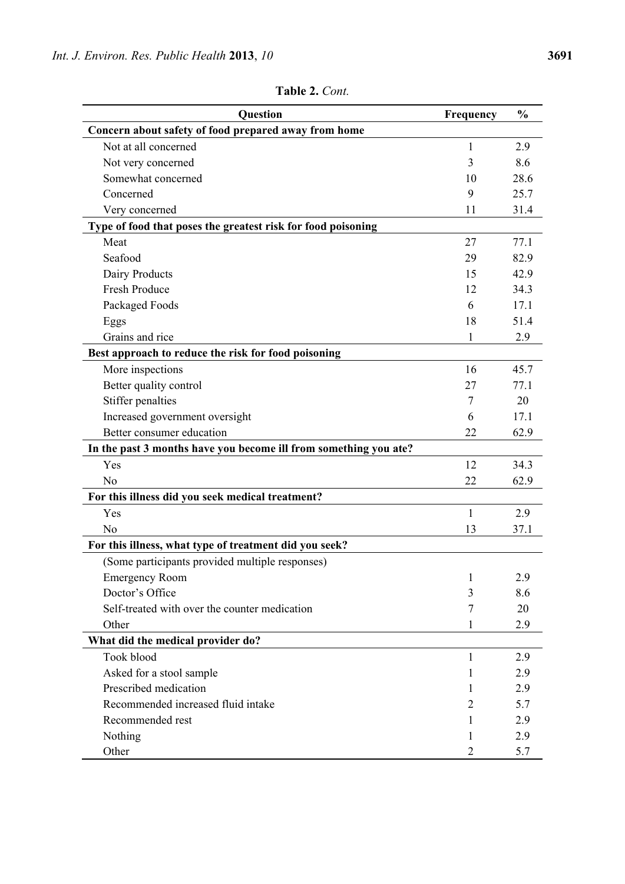| Question                                                         | Frequency      | $\frac{0}{0}$ |
|------------------------------------------------------------------|----------------|---------------|
| Concern about safety of food prepared away from home             |                |               |
| Not at all concerned                                             | 1              | 2.9           |
| Not very concerned                                               | 3              | 8.6           |
| Somewhat concerned                                               | 10             | 28.6          |
| Concerned                                                        | 9              | 25.7          |
| Very concerned                                                   | 11             | 31.4          |
| Type of food that poses the greatest risk for food poisoning     |                |               |
| Meat                                                             | 27             | 77.1          |
| Seafood                                                          | 29             | 82.9          |
| Dairy Products                                                   | 15             | 42.9          |
| Fresh Produce                                                    | 12             | 34.3          |
| Packaged Foods                                                   | 6              | 17.1          |
| Eggs                                                             | 18             | 51.4          |
| Grains and rice                                                  | 1              | 2.9           |
| Best approach to reduce the risk for food poisoning              |                |               |
| More inspections                                                 | 16             | 45.7          |
| Better quality control                                           | 27             | 77.1          |
| Stiffer penalties                                                | 7              | 20            |
| Increased government oversight                                   | 6              | 17.1          |
| Better consumer education                                        | 22             | 62.9          |
| In the past 3 months have you become ill from something you ate? |                |               |
| Yes                                                              | 12             | 34.3          |
| N <sub>0</sub>                                                   | 22             | 62.9          |
| For this illness did you seek medical treatment?                 |                |               |
| Yes                                                              | 1              | 2.9           |
| No                                                               | 13             | 37.1          |
| For this illness, what type of treatment did you seek?           |                |               |
| (Some participants provided multiple responses)                  |                |               |
| <b>Emergency Room</b>                                            | 1              | 2.9           |
| Doctor's Office                                                  | 3              | 8.6           |
| Self-treated with over the counter medication                    | 7              | 20            |
| Other                                                            | 1              | 2.9           |
| What did the medical provider do?                                |                |               |
| Took blood                                                       | 1              | 2.9           |
| Asked for a stool sample                                         | 1              | 2.9           |
| Prescribed medication                                            | 1              | 2.9           |
| Recommended increased fluid intake                               | 2              | 5.7           |
| Recommended rest                                                 | 1              | 2.9           |
| Nothing                                                          | 1              | 2.9           |
| Other                                                            | $\overline{2}$ | 5.7           |

**Table 2.** *Cont.*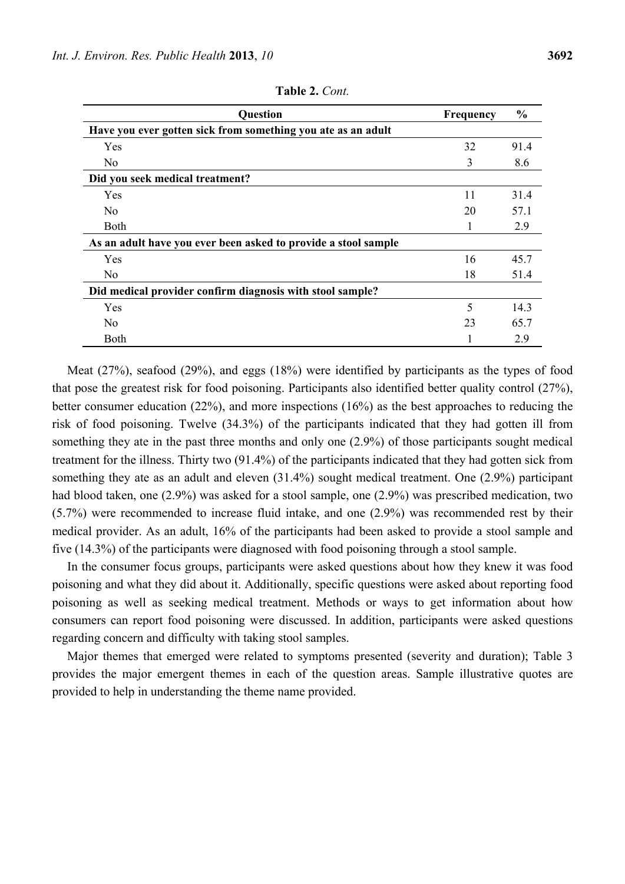| <b>Question</b>                                                | Frequency | $\frac{0}{0}$ |
|----------------------------------------------------------------|-----------|---------------|
| Have you ever gotten sick from something you ate as an adult   |           |               |
| Yes                                                            | 32        | 91.4          |
| No.                                                            | 3         | 8.6           |
| Did you seek medical treatment?                                |           |               |
| Yes                                                            | 11        | 31.4          |
| N <sub>0</sub>                                                 | 20        | 57.1          |
| <b>Both</b>                                                    | Ι.        | 2.9           |
| As an adult have you ever been asked to provide a stool sample |           |               |
| Yes                                                            | 16        | 45.7          |
| N <sub>0</sub>                                                 | 18        | 51.4          |
| Did medical provider confirm diagnosis with stool sample?      |           |               |
| Yes                                                            | 5         | 14.3          |
| N <sub>0</sub>                                                 | 23        | 65.7          |
| Both                                                           |           | 2.9           |

**Table 2.** *Cont.* 

Meat (27%), seafood (29%), and eggs (18%) were identified by participants as the types of food that pose the greatest risk for food poisoning. Participants also identified better quality control (27%), better consumer education (22%), and more inspections (16%) as the best approaches to reducing the risk of food poisoning. Twelve (34.3%) of the participants indicated that they had gotten ill from something they ate in the past three months and only one (2.9%) of those participants sought medical treatment for the illness. Thirty two (91.4%) of the participants indicated that they had gotten sick from something they ate as an adult and eleven (31.4%) sought medical treatment. One (2.9%) participant had blood taken, one (2.9%) was asked for a stool sample, one (2.9%) was prescribed medication, two (5.7%) were recommended to increase fluid intake, and one (2.9%) was recommended rest by their medical provider. As an adult, 16% of the participants had been asked to provide a stool sample and five (14.3%) of the participants were diagnosed with food poisoning through a stool sample.

In the consumer focus groups, participants were asked questions about how they knew it was food poisoning and what they did about it. Additionally, specific questions were asked about reporting food poisoning as well as seeking medical treatment. Methods or ways to get information about how consumers can report food poisoning were discussed. In addition, participants were asked questions regarding concern and difficulty with taking stool samples.

Major themes that emerged were related to symptoms presented (severity and duration); Table 3 provides the major emergent themes in each of the question areas. Sample illustrative quotes are provided to help in understanding the theme name provided.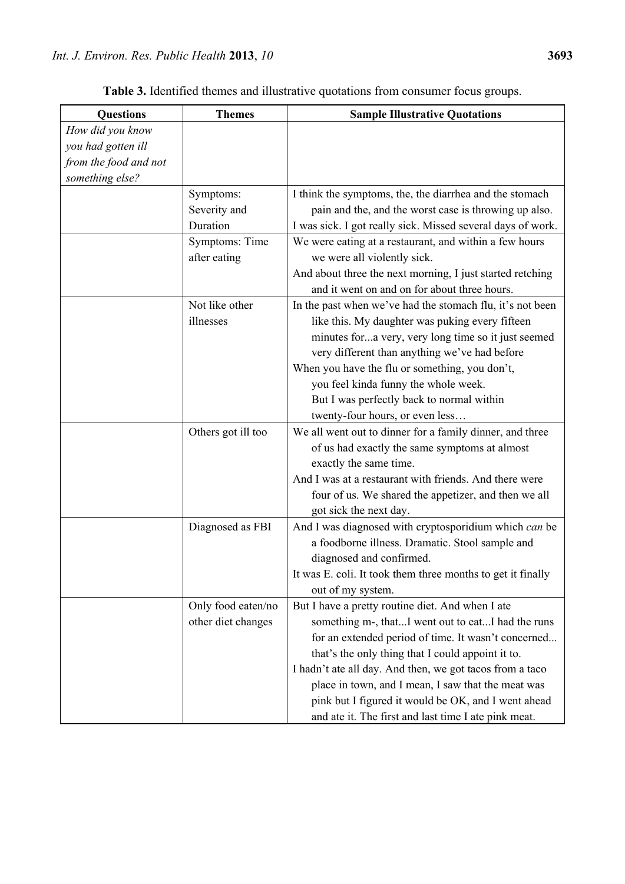| <b>Questions</b>      | <b>Themes</b>      | <b>Sample Illustrative Quotations</b>                       |
|-----------------------|--------------------|-------------------------------------------------------------|
| How did you know      |                    |                                                             |
| you had gotten ill    |                    |                                                             |
| from the food and not |                    |                                                             |
| something else?       |                    |                                                             |
|                       | Symptoms:          | I think the symptoms, the, the diarrhea and the stomach     |
|                       | Severity and       | pain and the, and the worst case is throwing up also.       |
|                       | Duration           | I was sick. I got really sick. Missed several days of work. |
|                       | Symptoms: Time     | We were eating at a restaurant, and within a few hours      |
|                       | after eating       | we were all violently sick.                                 |
|                       |                    | And about three the next morning, I just started retching   |
|                       |                    | and it went on and on for about three hours.                |
|                       | Not like other     | In the past when we've had the stomach flu, it's not been   |
|                       | illnesses          | like this. My daughter was puking every fifteen             |
|                       |                    | minutes fora very, very long time so it just seemed         |
|                       |                    | very different than anything we've had before               |
|                       |                    | When you have the flu or something, you don't,              |
|                       |                    | you feel kinda funny the whole week.                        |
|                       |                    | But I was perfectly back to normal within                   |
|                       |                    | twenty-four hours, or even less                             |
|                       | Others got ill too | We all went out to dinner for a family dinner, and three    |
|                       |                    | of us had exactly the same symptoms at almost               |
|                       |                    | exactly the same time.                                      |
|                       |                    | And I was at a restaurant with friends. And there were      |
|                       |                    | four of us. We shared the appetizer, and then we all        |
|                       |                    | got sick the next day.                                      |
|                       | Diagnosed as FBI   | And I was diagnosed with cryptosporidium which can be       |
|                       |                    | a foodborne illness. Dramatic. Stool sample and             |
|                       |                    | diagnosed and confirmed.                                    |
|                       |                    | It was E. coli. It took them three months to get it finally |
|                       |                    | out of my system.                                           |
|                       | Only food eaten/no | But I have a pretty routine diet. And when I ate            |
|                       | other diet changes | something m-, thatI went out to eatI had the runs           |
|                       |                    | for an extended period of time. It wasn't concerned         |
|                       |                    | that's the only thing that I could appoint it to.           |
|                       |                    | I hadn't ate all day. And then, we got tacos from a taco    |
|                       |                    | place in town, and I mean, I saw that the meat was          |
|                       |                    | pink but I figured it would be OK, and I went ahead         |
|                       |                    | and ate it. The first and last time I ate pink meat.        |

**Table 3.** Identified themes and illustrative quotations from consumer focus groups.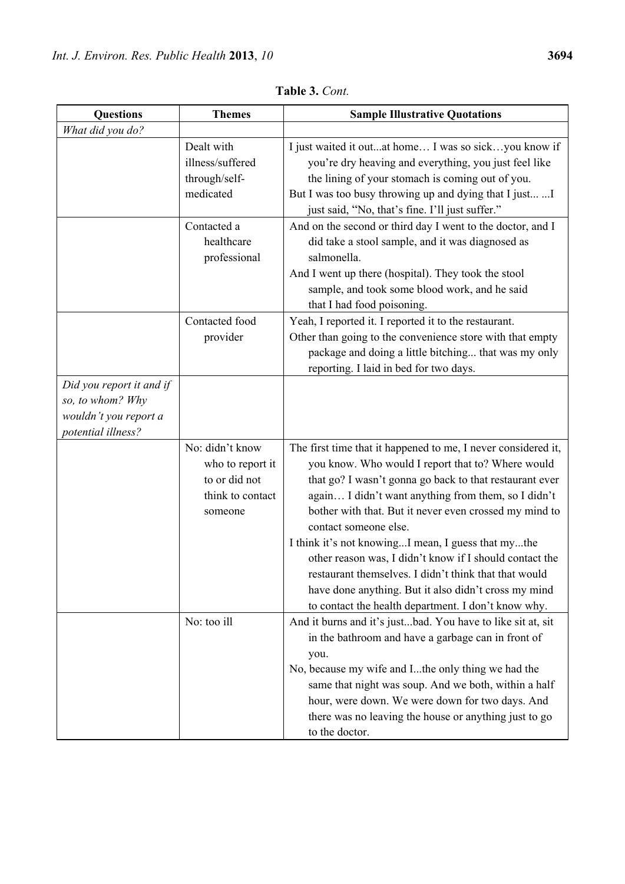| <b>Questions</b>                                                                            | <b>Themes</b>                                                                       | <b>Sample Illustrative Quotations</b>                                                                                                                                                                                                                                                                                                                                                                                                                                                                                                                                                                            |
|---------------------------------------------------------------------------------------------|-------------------------------------------------------------------------------------|------------------------------------------------------------------------------------------------------------------------------------------------------------------------------------------------------------------------------------------------------------------------------------------------------------------------------------------------------------------------------------------------------------------------------------------------------------------------------------------------------------------------------------------------------------------------------------------------------------------|
| What did you do?                                                                            |                                                                                     |                                                                                                                                                                                                                                                                                                                                                                                                                                                                                                                                                                                                                  |
|                                                                                             | Dealt with<br>illness/suffered<br>through/self-<br>medicated                        | I just waited it outat home I was so sickyou know if<br>you're dry heaving and everything, you just feel like<br>the lining of your stomach is coming out of you.<br>But I was too busy throwing up and dying that I just  I                                                                                                                                                                                                                                                                                                                                                                                     |
|                                                                                             |                                                                                     | just said, "No, that's fine. I'll just suffer."                                                                                                                                                                                                                                                                                                                                                                                                                                                                                                                                                                  |
|                                                                                             | Contacted a<br>healthcare<br>professional                                           | And on the second or third day I went to the doctor, and I<br>did take a stool sample, and it was diagnosed as<br>salmonella.<br>And I went up there (hospital). They took the stool<br>sample, and took some blood work, and he said<br>that I had food poisoning.                                                                                                                                                                                                                                                                                                                                              |
|                                                                                             | Contacted food<br>provider                                                          | Yeah, I reported it. I reported it to the restaurant.<br>Other than going to the convenience store with that empty<br>package and doing a little bitching that was my only<br>reporting. I laid in bed for two days.                                                                                                                                                                                                                                                                                                                                                                                             |
| Did you report it and if<br>so, to whom? Why<br>wouldn't you report a<br>potential illness? |                                                                                     |                                                                                                                                                                                                                                                                                                                                                                                                                                                                                                                                                                                                                  |
|                                                                                             | No: didn't know<br>who to report it<br>to or did not<br>think to contact<br>someone | The first time that it happened to me, I never considered it,<br>you know. Who would I report that to? Where would<br>that go? I wasn't gonna go back to that restaurant ever<br>again I didn't want anything from them, so I didn't<br>bother with that. But it never even crossed my mind to<br>contact someone else.<br>I think it's not knowingI mean, I guess that mythe<br>other reason was, I didn't know if I should contact the<br>restaurant themselves. I didn't think that that would<br>have done anything. But it also didn't cross my mind<br>to contact the health department. I don't know why. |
|                                                                                             | No: too ill                                                                         | And it burns and it's justbad. You have to like sit at, sit<br>in the bathroom and have a garbage can in front of<br>you.<br>No, because my wife and Ithe only thing we had the<br>same that night was soup. And we both, within a half<br>hour, were down. We were down for two days. And<br>there was no leaving the house or anything just to go<br>to the doctor.                                                                                                                                                                                                                                            |

**Table 3.** *Cont.*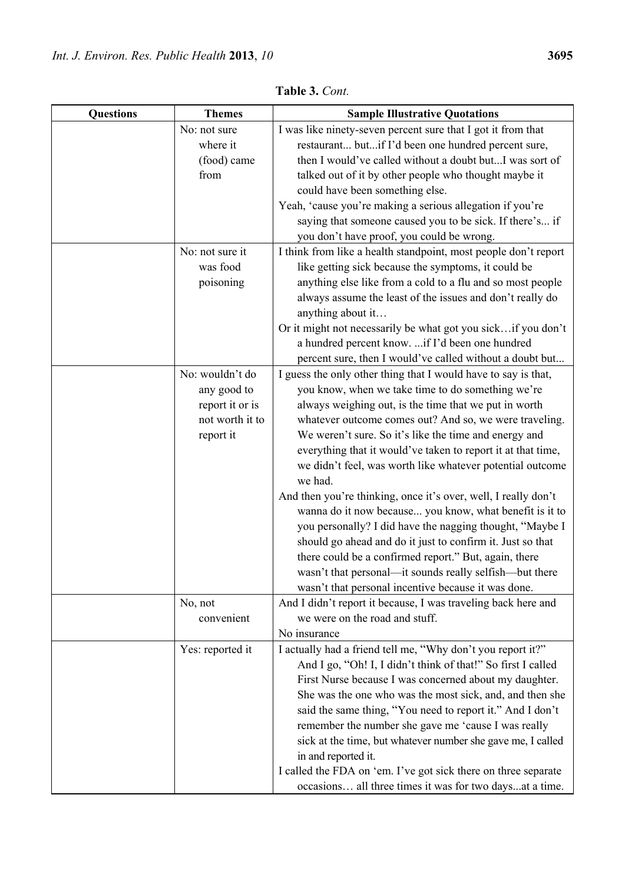| <b>Questions</b> | <b>Themes</b>    | <b>Sample Illustrative Quotations</b>                                                                            |
|------------------|------------------|------------------------------------------------------------------------------------------------------------------|
|                  | No: not sure     | I was like ninety-seven percent sure that I got it from that                                                     |
|                  | where it         | restaurant butif I'd been one hundred percent sure,                                                              |
|                  | (food) came      | then I would've called without a doubt butI was sort of                                                          |
|                  | from             | talked out of it by other people who thought maybe it                                                            |
|                  |                  | could have been something else.                                                                                  |
|                  |                  | Yeah, 'cause you're making a serious allegation if you're                                                        |
|                  |                  | saying that someone caused you to be sick. If there's if                                                         |
|                  |                  | you don't have proof, you could be wrong.                                                                        |
|                  | No: not sure it  | I think from like a health standpoint, most people don't report                                                  |
|                  | was food         | like getting sick because the symptoms, it could be                                                              |
|                  | poisoning        | anything else like from a cold to a flu and so most people                                                       |
|                  |                  | always assume the least of the issues and don't really do                                                        |
|                  |                  | anything about it                                                                                                |
|                  |                  | Or it might not necessarily be what got you sickif you don't                                                     |
|                  |                  | a hundred percent know.  if I'd been one hundred                                                                 |
|                  |                  | percent sure, then I would've called without a doubt but                                                         |
|                  | No: wouldn't do  | I guess the only other thing that I would have to say is that,                                                   |
|                  | any good to      | you know, when we take time to do something we're                                                                |
|                  | report it or is  | always weighing out, is the time that we put in worth                                                            |
|                  | not worth it to  | whatever outcome comes out? And so, we were traveling.                                                           |
|                  | report it        | We weren't sure. So it's like the time and energy and                                                            |
|                  |                  | everything that it would've taken to report it at that time,                                                     |
|                  |                  | we didn't feel, was worth like whatever potential outcome                                                        |
|                  |                  | we had.                                                                                                          |
|                  |                  | And then you're thinking, once it's over, well, I really don't                                                   |
|                  |                  | wanna do it now because you know, what benefit is it to                                                          |
|                  |                  | you personally? I did have the nagging thought, "Maybe I                                                         |
|                  |                  | should go ahead and do it just to confirm it. Just so that                                                       |
|                  |                  | there could be a confirmed report." But, again, there<br>wasn't that personal—it sounds really selfish—but there |
|                  |                  | wasn't that personal incentive because it was done.                                                              |
|                  | No, not          | And I didn't report it because, I was traveling back here and                                                    |
|                  | convenient       | we were on the road and stuff.                                                                                   |
|                  |                  | No insurance                                                                                                     |
|                  | Yes: reported it | I actually had a friend tell me, "Why don't you report it?"                                                      |
|                  |                  | And I go, "Oh! I, I didn't think of that!" So first I called                                                     |
|                  |                  | First Nurse because I was concerned about my daughter.                                                           |
|                  |                  | She was the one who was the most sick, and, and then she                                                         |
|                  |                  | said the same thing, "You need to report it." And I don't                                                        |
|                  |                  | remember the number she gave me 'cause I was really                                                              |
|                  |                  | sick at the time, but whatever number she gave me, I called                                                      |
|                  |                  | in and reported it.                                                                                              |
|                  |                  | I called the FDA on 'em. I've got sick there on three separate                                                   |
|                  |                  | occasions all three times it was for two daysat a time.                                                          |

**Table 3.** *Cont.*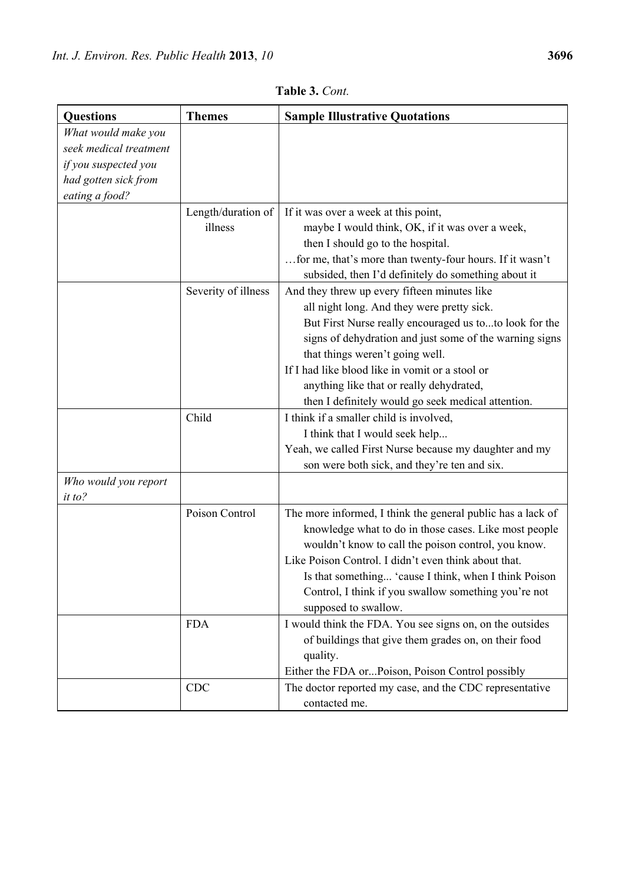| <b>Questions</b>               | <b>Themes</b>                 | <b>Sample Illustrative Quotations</b>                                                                                                                                                                                                                                                                                                                                                                   |
|--------------------------------|-------------------------------|---------------------------------------------------------------------------------------------------------------------------------------------------------------------------------------------------------------------------------------------------------------------------------------------------------------------------------------------------------------------------------------------------------|
| What would make you            |                               |                                                                                                                                                                                                                                                                                                                                                                                                         |
| seek medical treatment         |                               |                                                                                                                                                                                                                                                                                                                                                                                                         |
| if you suspected you           |                               |                                                                                                                                                                                                                                                                                                                                                                                                         |
| had gotten sick from           |                               |                                                                                                                                                                                                                                                                                                                                                                                                         |
| eating a food?                 |                               |                                                                                                                                                                                                                                                                                                                                                                                                         |
|                                | Length/duration of<br>illness | If it was over a week at this point,<br>maybe I would think, OK, if it was over a week,<br>then I should go to the hospital.<br>for me, that's more than twenty-four hours. If it wasn't<br>subsided, then I'd definitely do something about it                                                                                                                                                         |
|                                | Severity of illness           | And they threw up every fifteen minutes like<br>all night long. And they were pretty sick.<br>But First Nurse really encouraged us toto look for the<br>signs of dehydration and just some of the warning signs<br>that things weren't going well.<br>If I had like blood like in vomit or a stool or<br>anything like that or really dehydrated,<br>then I definitely would go seek medical attention. |
|                                | Child                         | I think if a smaller child is involved,                                                                                                                                                                                                                                                                                                                                                                 |
|                                |                               | I think that I would seek help                                                                                                                                                                                                                                                                                                                                                                          |
|                                |                               | Yeah, we called First Nurse because my daughter and my                                                                                                                                                                                                                                                                                                                                                  |
|                                |                               | son were both sick, and they're ten and six.                                                                                                                                                                                                                                                                                                                                                            |
| Who would you report<br>it to? |                               |                                                                                                                                                                                                                                                                                                                                                                                                         |
|                                | Poison Control                | The more informed, I think the general public has a lack of<br>knowledge what to do in those cases. Like most people<br>wouldn't know to call the poison control, you know.<br>Like Poison Control. I didn't even think about that.<br>Is that something 'cause I think, when I think Poison<br>Control, I think if you swallow something you're not<br>supposed to swallow.                            |
|                                | <b>FDA</b>                    | I would think the FDA. You see signs on, on the outsides<br>of buildings that give them grades on, on their food<br>quality.<br>Either the FDA orPoison, Poison Control possibly                                                                                                                                                                                                                        |
|                                | <b>CDC</b>                    | The doctor reported my case, and the CDC representative<br>contacted me.                                                                                                                                                                                                                                                                                                                                |

**Table 3.** *Cont.*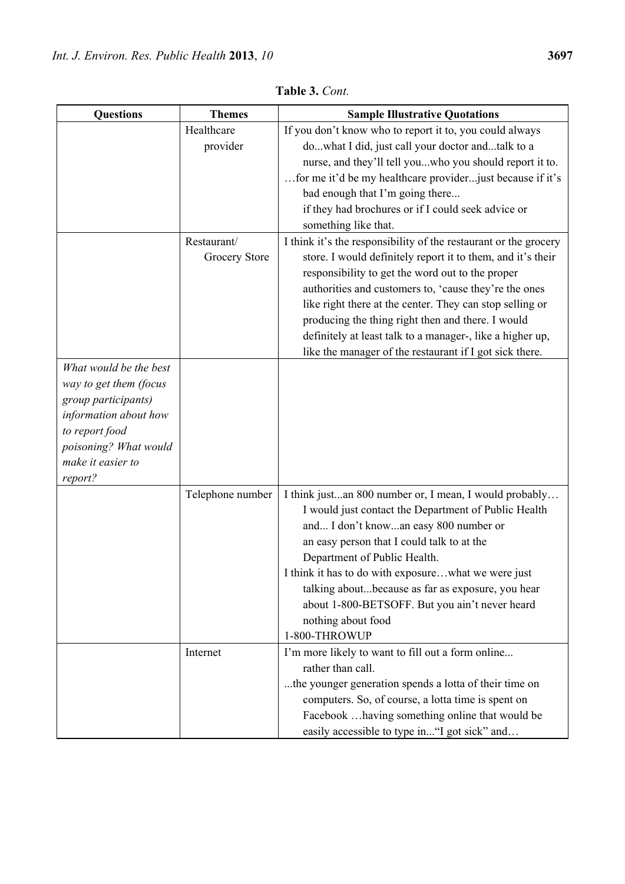| <b>Questions</b>                           | <b>Themes</b>    | <b>Sample Illustrative Quotations</b>                            |
|--------------------------------------------|------------------|------------------------------------------------------------------|
|                                            | Healthcare       | If you don't know who to report it to, you could always          |
|                                            | provider         | dowhat I did, just call your doctor andtalk to a                 |
|                                            |                  | nurse, and they'll tell youwho you should report it to.          |
|                                            |                  | for me it'd be my healthcare provider just because if it's       |
|                                            |                  | bad enough that I'm going there                                  |
|                                            |                  | if they had brochures or if I could seek advice or               |
|                                            |                  | something like that.                                             |
|                                            | Restaurant/      | I think it's the responsibility of the restaurant or the grocery |
|                                            | Grocery Store    | store. I would definitely report it to them, and it's their      |
|                                            |                  | responsibility to get the word out to the proper                 |
|                                            |                  | authorities and customers to, 'cause they're the ones            |
|                                            |                  | like right there at the center. They can stop selling or         |
|                                            |                  | producing the thing right then and there. I would                |
|                                            |                  | definitely at least talk to a manager-, like a higher up,        |
|                                            |                  | like the manager of the restaurant if I got sick there.          |
| What would be the best                     |                  |                                                                  |
| way to get them (focus                     |                  |                                                                  |
| group participants)                        |                  |                                                                  |
| information about how                      |                  |                                                                  |
| to report food                             |                  |                                                                  |
| poisoning? What would<br>make it easier to |                  |                                                                  |
| report?                                    |                  |                                                                  |
|                                            | Telephone number | I think justan 800 number or, I mean, I would probably           |
|                                            |                  | I would just contact the Department of Public Health             |
|                                            |                  | and I don't knowan easy 800 number or                            |
|                                            |                  | an easy person that I could talk to at the                       |
|                                            |                  | Department of Public Health.                                     |
|                                            |                  | I think it has to do with exposurewhat we were just              |
|                                            |                  | talking aboutbecause as far as exposure, you hear                |
|                                            |                  | about 1-800-BETSOFF. But you ain't never heard                   |
|                                            |                  | nothing about food                                               |
|                                            |                  | 1-800-THROWUP                                                    |
|                                            | Internet         | I'm more likely to want to fill out a form online                |
|                                            |                  | rather than call.                                                |
|                                            |                  | the younger generation spends a lotta of their time on           |
|                                            |                  | computers. So, of course, a lotta time is spent on               |
|                                            |                  | Facebook  having something online that would be                  |
|                                            |                  | easily accessible to type in "I got sick" and                    |

**Table 3.** *Cont.*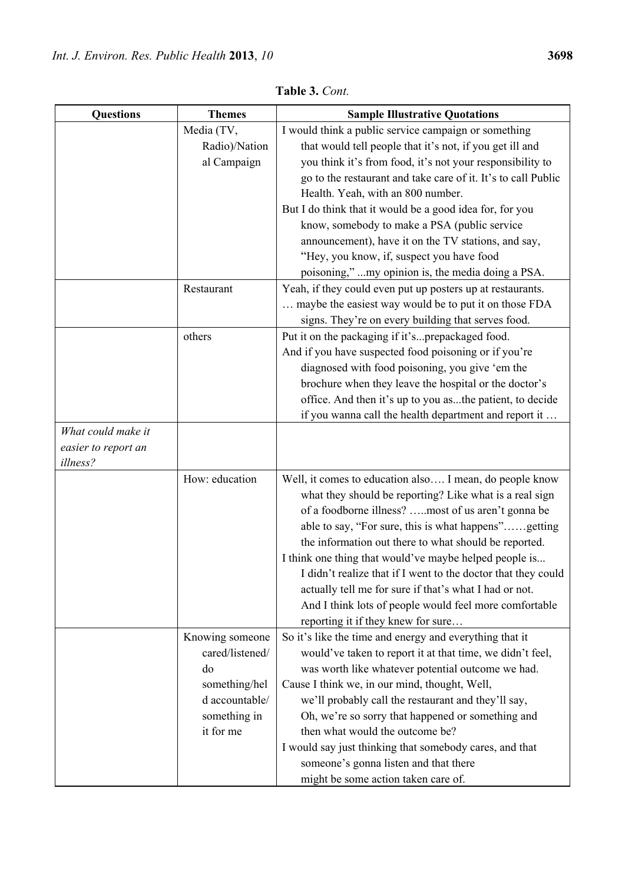| <b>Questions</b>    | <b>Themes</b>   | <b>Sample Illustrative Quotations</b>                         |
|---------------------|-----------------|---------------------------------------------------------------|
|                     | Media (TV,      | I would think a public service campaign or something          |
|                     | Radio)/Nation   | that would tell people that it's not, if you get ill and      |
|                     | al Campaign     | you think it's from food, it's not your responsibility to     |
|                     |                 | go to the restaurant and take care of it. It's to call Public |
|                     |                 | Health. Yeah, with an 800 number.                             |
|                     |                 | But I do think that it would be a good idea for, for you      |
|                     |                 | know, somebody to make a PSA (public service                  |
|                     |                 | announcement), have it on the TV stations, and say,           |
|                     |                 | "Hey, you know, if, suspect you have food                     |
|                     |                 | poisoning," my opinion is, the media doing a PSA.             |
|                     | Restaurant      | Yeah, if they could even put up posters up at restaurants.    |
|                     |                 | maybe the easiest way would be to put it on those FDA         |
|                     |                 | signs. They're on every building that serves food.            |
|                     | others          | Put it on the packaging if it'sprepackaged food.              |
|                     |                 | And if you have suspected food poisoning or if you're         |
|                     |                 | diagnosed with food poisoning, you give 'em the               |
|                     |                 | brochure when they leave the hospital or the doctor's         |
|                     |                 | office. And then it's up to you asthe patient, to decide      |
|                     |                 | if you wanna call the health department and report it         |
| What could make it  |                 |                                                               |
| easier to report an |                 |                                                               |
| illness?            |                 |                                                               |
|                     | How: education  | Well, it comes to education also I mean, do people know       |
|                     |                 | what they should be reporting? Like what is a real sign       |
|                     |                 | of a foodborne illness? most of us aren't gonna be            |
|                     |                 | able to say, "For sure, this is what happens"getting          |
|                     |                 | the information out there to what should be reported.         |
|                     |                 | I think one thing that would've maybe helped people is        |
|                     |                 | I didn't realize that if I went to the doctor that they could |
|                     |                 | actually tell me for sure if that's what I had or not.        |
|                     |                 | And I think lots of people would feel more comfortable        |
|                     |                 | reporting it if they knew for sure                            |
|                     | Knowing someone | So it's like the time and energy and everything that it       |
|                     | cared/listened/ | would've taken to report it at that time, we didn't feel,     |
|                     | do              | was worth like whatever potential outcome we had.             |
|                     | something/hel   | Cause I think we, in our mind, thought, Well,                 |
|                     | d accountable/  | we'll probably call the restaurant and they'll say,           |
|                     | something in    | Oh, we're so sorry that happened or something and             |
|                     | it for me       | then what would the outcome be?                               |
|                     |                 | I would say just thinking that somebody cares, and that       |
|                     |                 | someone's gonna listen and that there                         |
|                     |                 | might be some action taken care of.                           |

**Table 3.** *Cont.*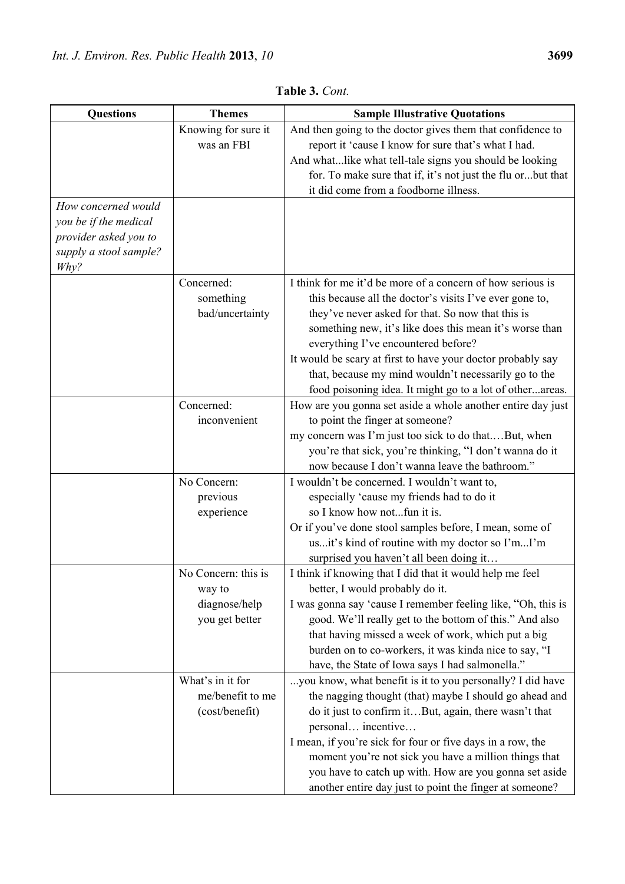| <b>Questions</b>       | <b>Themes</b>       | <b>Sample Illustrative Quotations</b>                        |
|------------------------|---------------------|--------------------------------------------------------------|
|                        | Knowing for sure it | And then going to the doctor gives them that confidence to   |
|                        | was an FBI          | report it 'cause I know for sure that's what I had.          |
|                        |                     | And whatlike what tell-tale signs you should be looking      |
|                        |                     | for. To make sure that if, it's not just the flu orbut that  |
|                        |                     | it did come from a foodborne illness.                        |
| How concerned would    |                     |                                                              |
| you be if the medical  |                     |                                                              |
| provider asked you to  |                     |                                                              |
| supply a stool sample? |                     |                                                              |
| Why?                   |                     |                                                              |
|                        | Concerned:          | I think for me it'd be more of a concern of how serious is   |
|                        | something           | this because all the doctor's visits I've ever gone to,      |
|                        | bad/uncertainty     | they've never asked for that. So now that this is            |
|                        |                     | something new, it's like does this mean it's worse than      |
|                        |                     | everything I've encountered before?                          |
|                        |                     | It would be scary at first to have your doctor probably say  |
|                        |                     | that, because my mind wouldn't necessarily go to the         |
|                        |                     | food poisoning idea. It might go to a lot of otherareas.     |
|                        | Concerned:          | How are you gonna set aside a whole another entire day just  |
|                        | inconvenient        | to point the finger at someone?                              |
|                        |                     | my concern was I'm just too sick to do thatBut, when         |
|                        |                     | you're that sick, you're thinking, "I don't wanna do it      |
|                        |                     | now because I don't wanna leave the bathroom."               |
|                        | No Concern:         | I wouldn't be concerned. I wouldn't want to,                 |
|                        | previous            | especially 'cause my friends had to do it                    |
|                        | experience          | so I know how notfun it is.                                  |
|                        |                     | Or if you've done stool samples before, I mean, some of      |
|                        |                     | usit's kind of routine with my doctor so I'mI'm              |
|                        |                     | surprised you haven't all been doing it                      |
|                        | No Concern: this is | I think if knowing that I did that it would help me feel     |
|                        | way to              | better, I would probably do it.                              |
|                        | diagnose/help       | I was gonna say 'cause I remember feeling like, "Oh, this is |
|                        | you get better      | good. We'll really get to the bottom of this." And also      |
|                        |                     | that having missed a week of work, which put a big           |
|                        |                     | burden on to co-workers, it was kinda nice to say, "I        |
|                        |                     | have, the State of Iowa says I had salmonella."              |
|                        | What's in it for    | you know, what benefit is it to you personally? I did have   |
|                        | me/benefit to me    | the nagging thought (that) maybe I should go ahead and       |
|                        | (cost/benefit)      | do it just to confirm itBut, again, there wasn't that        |
|                        |                     | personal incentive                                           |
|                        |                     | I mean, if you're sick for four or five days in a row, the   |
|                        |                     | moment you're not sick you have a million things that        |

you have to catch up with. How are you gonna set aside another entire day just to point the finger at someone?

**Table 3.** *Cont.*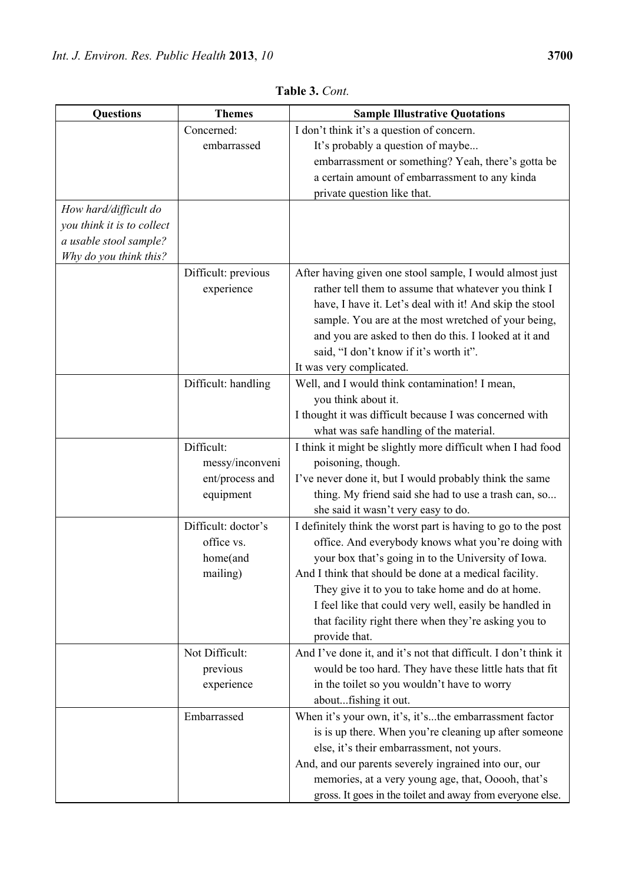| <b>Questions</b>           | <b>Themes</b>       | <b>Sample Illustrative Quotations</b>                           |
|----------------------------|---------------------|-----------------------------------------------------------------|
|                            | Concerned:          | I don't think it's a question of concern.                       |
|                            | embarrassed         | It's probably a question of maybe                               |
|                            |                     | embarrassment or something? Yeah, there's gotta be              |
|                            |                     | a certain amount of embarrassment to any kinda                  |
|                            |                     | private question like that.                                     |
| How hard/difficult do      |                     |                                                                 |
| you think it is to collect |                     |                                                                 |
| a usable stool sample?     |                     |                                                                 |
| Why do you think this?     |                     |                                                                 |
|                            | Difficult: previous | After having given one stool sample, I would almost just        |
|                            | experience          | rather tell them to assume that whatever you think I            |
|                            |                     | have, I have it. Let's deal with it! And skip the stool         |
|                            |                     | sample. You are at the most wretched of your being,             |
|                            |                     | and you are asked to then do this. I looked at it and           |
|                            |                     | said, "I don't know if it's worth it".                          |
|                            |                     | It was very complicated.                                        |
|                            | Difficult: handling | Well, and I would think contamination! I mean,                  |
|                            |                     | you think about it.                                             |
|                            |                     | I thought it was difficult because I was concerned with         |
|                            |                     | what was safe handling of the material.                         |
|                            | Difficult:          | I think it might be slightly more difficult when I had food     |
|                            | messy/inconveni     | poisoning, though.                                              |
|                            | ent/process and     | I've never done it, but I would probably think the same         |
|                            | equipment           | thing. My friend said she had to use a trash can, so            |
|                            |                     | she said it wasn't very easy to do.                             |
|                            | Difficult: doctor's | I definitely think the worst part is having to go to the post   |
|                            | office vs.          | office. And everybody knows what you're doing with              |
|                            | home(and            | your box that's going in to the University of Iowa.             |
|                            | mailing)            | And I think that should be done at a medical facility.          |
|                            |                     | They give it to you to take home and do at home.                |
|                            |                     | I feel like that could very well, easily be handled in          |
|                            |                     | that facility right there when they're asking you to            |
|                            |                     | provide that.                                                   |
|                            | Not Difficult:      | And I've done it, and it's not that difficult. I don't think it |
|                            | previous            | would be too hard. They have these little hats that fit         |
|                            | experience          | in the toilet so you wouldn't have to worry                     |
|                            |                     | aboutfishing it out.                                            |
|                            | Embarrassed         | When it's your own, it's, it'sthe embarrassment factor          |
|                            |                     | is is up there. When you're cleaning up after someone           |
|                            |                     | else, it's their embarrassment, not yours.                      |
|                            |                     | And, and our parents severely ingrained into our, our           |
|                            |                     | memories, at a very young age, that, Ooooh, that's              |
|                            |                     | gross. It goes in the toilet and away from everyone else.       |

**Table 3.** *Cont.*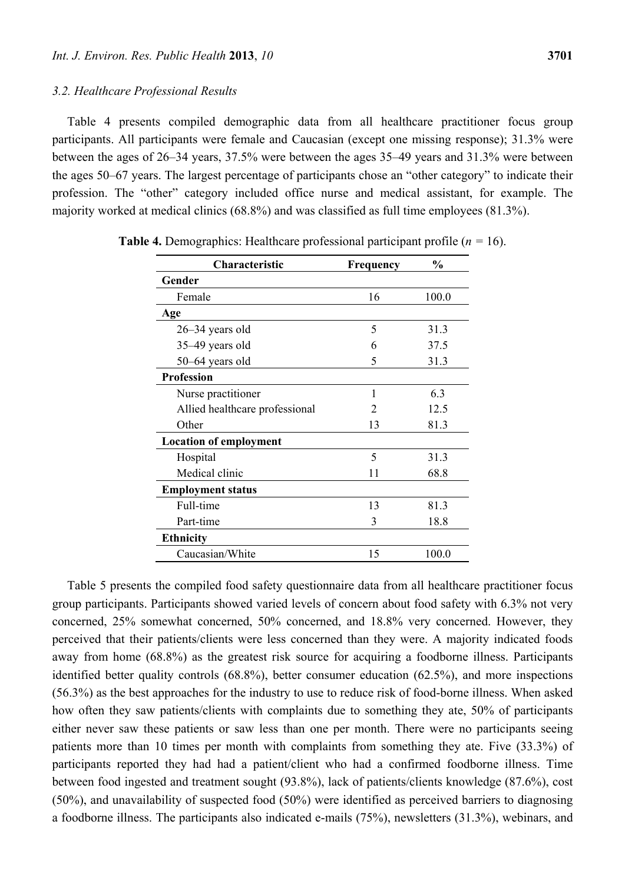Table 4 presents compiled demographic data from all healthcare practitioner focus group participants. All participants were female and Caucasian (except one missing response); 31.3% were between the ages of 26–34 years, 37.5% were between the ages 35–49 years and 31.3% were between the ages 50–67 years. The largest percentage of participants chose an "other category" to indicate their profession. The "other" category included office nurse and medical assistant, for example. The majority worked at medical clinics (68.8%) and was classified as full time employees (81.3%).

| Characteristic                 | <b>Frequency</b>            | $\frac{0}{0}$ |
|--------------------------------|-----------------------------|---------------|
| Gender                         |                             |               |
| Female                         | 16                          | 100.0         |
| Age                            |                             |               |
| 26-34 years old                | 5                           | 31.3          |
| 35–49 years old                | 6                           | 37.5          |
| 50-64 years old                | 5                           | 31.3          |
| <b>Profession</b>              |                             |               |
| Nurse practitioner             | 1                           | 6.3           |
| Allied healthcare professional | $\mathcal{D}_{\mathcal{A}}$ | 12.5          |
| Other                          | 13                          | 81.3          |
| <b>Location of employment</b>  |                             |               |
| Hospital                       | 5                           | 31.3          |
| Medical clinic                 | 11                          | 68.8          |
| <b>Employment status</b>       |                             |               |
| Full-time                      | 13                          | 81.3          |
| Part-time                      | 3                           | 18.8          |
| <b>Ethnicity</b>               |                             |               |
| Caucasian/White                | 15                          | 100.0         |

**Table 4.** Demographics: Healthcare professional participant profile (*n =* 16).

Table 5 presents the compiled food safety questionnaire data from all healthcare practitioner focus group participants. Participants showed varied levels of concern about food safety with 6.3% not very concerned, 25% somewhat concerned, 50% concerned, and 18.8% very concerned. However, they perceived that their patients/clients were less concerned than they were. A majority indicated foods away from home (68.8%) as the greatest risk source for acquiring a foodborne illness. Participants identified better quality controls (68.8%), better consumer education (62.5%), and more inspections (56.3%) as the best approaches for the industry to use to reduce risk of food-borne illness. When asked how often they saw patients/clients with complaints due to something they ate, 50% of participants either never saw these patients or saw less than one per month. There were no participants seeing patients more than 10 times per month with complaints from something they ate. Five (33.3%) of participants reported they had had a patient/client who had a confirmed foodborne illness. Time between food ingested and treatment sought (93.8%), lack of patients/clients knowledge (87.6%), cost (50%), and unavailability of suspected food (50%) were identified as perceived barriers to diagnosing a foodborne illness. The participants also indicated e-mails (75%), newsletters (31.3%), webinars, and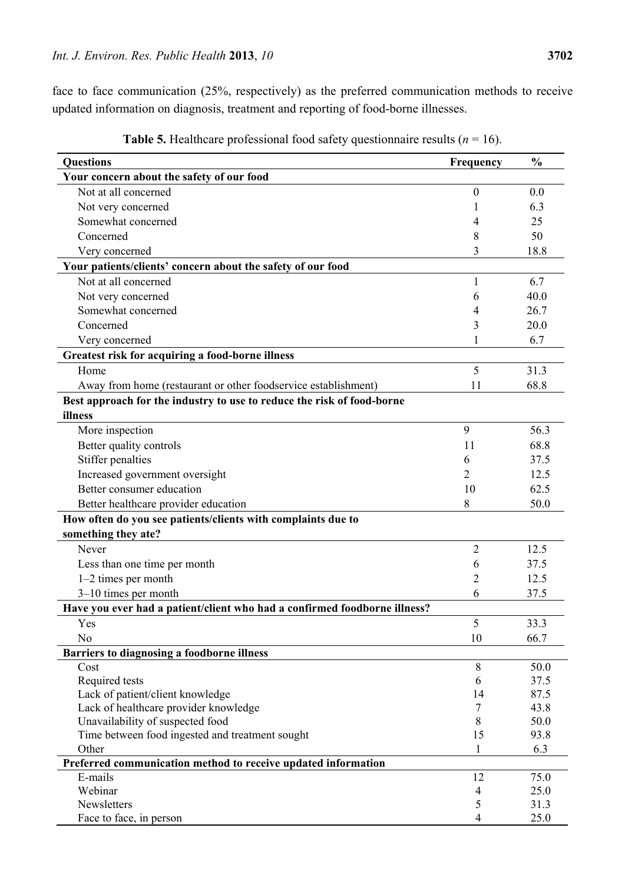face to face communication (25%, respectively) as the preferred communication methods to receive updated information on diagnosis, treatment and reporting of food-borne illnesses.

| <b>Questions</b>                                                          | Frequency        | $\frac{0}{0}$ |
|---------------------------------------------------------------------------|------------------|---------------|
| Your concern about the safety of our food                                 |                  |               |
| Not at all concerned                                                      | $\boldsymbol{0}$ | 0.0           |
| Not very concerned                                                        |                  | 6.3           |
| Somewhat concerned                                                        | 4                | 25            |
| Concerned                                                                 | 8                | 50            |
| Very concerned                                                            | 3                | 18.8          |
| Your patients/clients' concern about the safety of our food               |                  |               |
| Not at all concerned                                                      | $\mathbf{1}$     | 6.7           |
| Not very concerned                                                        | 6                | 40.0          |
| Somewhat concerned                                                        | 4                | 26.7          |
| Concerned                                                                 | 3                | 20.0          |
| Very concerned                                                            | 1                | 6.7           |
| Greatest risk for acquiring a food-borne illness                          |                  |               |
| Home                                                                      | 5                | 31.3          |
| Away from home (restaurant or other foodservice establishment)            | 11               | 68.8          |
| Best approach for the industry to use to reduce the risk of food-borne    |                  |               |
| illness                                                                   |                  |               |
| More inspection                                                           | 9                | 56.3          |
| Better quality controls                                                   | 11               | 68.8          |
| Stiffer penalties                                                         | 6                | 37.5          |
| Increased government oversight                                            | 2                | 12.5          |
| Better consumer education                                                 | 10               | 62.5          |
| Better healthcare provider education                                      | 8                | 50.0          |
| How often do you see patients/clients with complaints due to              |                  |               |
| something they ate?                                                       |                  |               |
| Never                                                                     | $\overline{2}$   | 12.5          |
| Less than one time per month                                              | 6                | 37.5          |
| 1-2 times per month                                                       | 2                | 12.5          |
| $3-10$ times per month                                                    | 6                | 37.5          |
| Have you ever had a patient/client who had a confirmed foodborne illness? |                  |               |
| Yes                                                                       | 5                | 33.3          |
| N <sub>o</sub>                                                            | 10               | 66.7          |
| Barriers to diagnosing a foodborne illness                                |                  |               |
| Cost                                                                      | $\,8\,$          | 50.0          |
| Required tests                                                            | 6                | 37.5          |
| Lack of patient/client knowledge                                          | 14               | 87.5          |
| Lack of healthcare provider knowledge                                     | 7                | 43.8          |
| Unavailability of suspected food                                          | 8                | 50.0          |
| Time between food ingested and treatment sought                           | 15               | 93.8          |
| Other                                                                     | 1                | 6.3           |
| Preferred communication method to receive updated information             |                  |               |
| E-mails                                                                   | 12               | 75.0          |
| Webinar                                                                   | 4                | 25.0          |
| Newsletters                                                               | 5                | 31.3          |
| Face to face, in person                                                   | 4                | 25.0          |

**Table 5.** Healthcare professional food safety questionnaire results ( $n = 16$ ).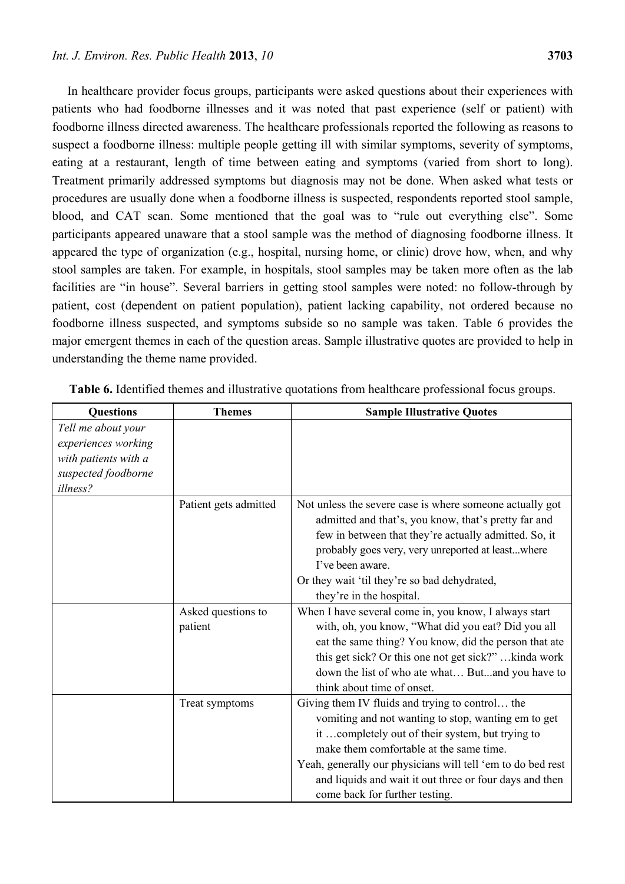In healthcare provider focus groups, participants were asked questions about their experiences with patients who had foodborne illnesses and it was noted that past experience (self or patient) with foodborne illness directed awareness. The healthcare professionals reported the following as reasons to suspect a foodborne illness: multiple people getting ill with similar symptoms, severity of symptoms, eating at a restaurant, length of time between eating and symptoms (varied from short to long). Treatment primarily addressed symptoms but diagnosis may not be done. When asked what tests or procedures are usually done when a foodborne illness is suspected, respondents reported stool sample, blood, and CAT scan. Some mentioned that the goal was to "rule out everything else". Some participants appeared unaware that a stool sample was the method of diagnosing foodborne illness. It appeared the type of organization (e.g., hospital, nursing home, or clinic) drove how, when, and why stool samples are taken. For example, in hospitals, stool samples may be taken more often as the lab facilities are "in house". Several barriers in getting stool samples were noted: no follow-through by patient, cost (dependent on patient population), patient lacking capability, not ordered because no foodborne illness suspected, and symptoms subside so no sample was taken. Table 6 provides the major emergent themes in each of the question areas. Sample illustrative quotes are provided to help in understanding the theme name provided.

| <b>Questions</b>     | <b>Themes</b>         | <b>Sample Illustrative Quotes</b>                           |
|----------------------|-----------------------|-------------------------------------------------------------|
| Tell me about your   |                       |                                                             |
| experiences working  |                       |                                                             |
| with patients with a |                       |                                                             |
| suspected foodborne  |                       |                                                             |
| illness?             |                       |                                                             |
|                      | Patient gets admitted | Not unless the severe case is where someone actually got    |
|                      |                       | admitted and that's, you know, that's pretty far and        |
|                      |                       | few in between that they're actually admitted. So, it       |
|                      |                       | probably goes very, very unreported at leastwhere           |
|                      |                       | I've been aware.                                            |
|                      |                       | Or they wait 'til they're so bad dehydrated,                |
|                      |                       | they're in the hospital.                                    |
|                      | Asked questions to    | When I have several come in, you know, I always start       |
|                      | patient               | with, oh, you know, "What did you eat? Did you all          |
|                      |                       | eat the same thing? You know, did the person that ate       |
|                      |                       | this get sick? Or this one not get sick?"kinda work         |
|                      |                       | down the list of who ate what Butand you have to            |
|                      |                       | think about time of onset.                                  |
|                      | Treat symptoms        | Giving them IV fluids and trying to control the             |
|                      |                       | vomiting and not wanting to stop, wanting em to get         |
|                      |                       | it completely out of their system, but trying to            |
|                      |                       | make them comfortable at the same time.                     |
|                      |                       | Yeah, generally our physicians will tell 'em to do bed rest |
|                      |                       | and liquids and wait it out three or four days and then     |
|                      |                       | come back for further testing.                              |

**Table 6.** Identified themes and illustrative quotations from healthcare professional focus groups.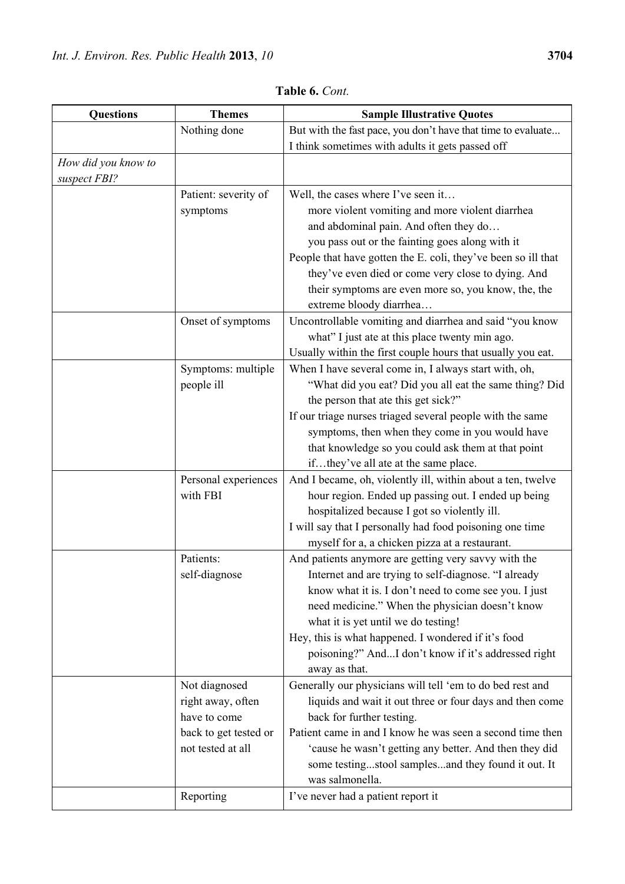| <b>Questions</b>                    | <b>Themes</b>                                                                                                 | <b>Sample Illustrative Quotes</b>                                                                                                                                                                                                                                                                                                                                                              |
|-------------------------------------|---------------------------------------------------------------------------------------------------------------|------------------------------------------------------------------------------------------------------------------------------------------------------------------------------------------------------------------------------------------------------------------------------------------------------------------------------------------------------------------------------------------------|
|                                     | Nothing done                                                                                                  | But with the fast pace, you don't have that time to evaluate<br>I think sometimes with adults it gets passed off                                                                                                                                                                                                                                                                               |
| How did you know to<br>suspect FBI? |                                                                                                               |                                                                                                                                                                                                                                                                                                                                                                                                |
|                                     | Patient: severity of<br>symptoms                                                                              | Well, the cases where I've seen it<br>more violent vomiting and more violent diarrhea<br>and abdominal pain. And often they do<br>you pass out or the fainting goes along with it<br>People that have gotten the E. coli, they've been so ill that<br>they've even died or come very close to dying. And<br>their symptoms are even more so, you know, the, the<br>extreme bloody diarrhea     |
|                                     | Onset of symptoms                                                                                             | Uncontrollable vomiting and diarrhea and said "you know<br>what" I just ate at this place twenty min ago.<br>Usually within the first couple hours that usually you eat.                                                                                                                                                                                                                       |
|                                     | Symptoms: multiple<br>people ill                                                                              | When I have several come in, I always start with, oh,<br>"What did you eat? Did you all eat the same thing? Did<br>the person that ate this get sick?"<br>If our triage nurses triaged several people with the same<br>symptoms, then when they come in you would have<br>that knowledge so you could ask them at that point<br>ifthey've all ate at the same place.                           |
|                                     | Personal experiences<br>with FBI                                                                              | And I became, oh, violently ill, within about a ten, twelve<br>hour region. Ended up passing out. I ended up being<br>hospitalized because I got so violently ill.<br>I will say that I personally had food poisoning one time<br>myself for a, a chicken pizza at a restaurant.                                                                                                               |
|                                     | Patients:<br>self-diagnose                                                                                    | And patients anymore are getting very savvy with the<br>Internet and are trying to self-diagnose. "I already<br>know what it is. I don't need to come see you. I just<br>need medicine." When the physician doesn't know<br>what it is yet until we do testing!<br>Hey, this is what happened. I wondered if it's food<br>poisoning?" AndI don't know if it's addressed right<br>away as that. |
|                                     | Not diagnosed<br>right away, often<br>have to come<br>back to get tested or<br>not tested at all<br>Reporting | Generally our physicians will tell 'em to do bed rest and<br>liquids and wait it out three or four days and then come<br>back for further testing.<br>Patient came in and I know he was seen a second time then<br>'cause he wasn't getting any better. And then they did<br>some testingstool samplesand they found it out. It<br>was salmonella.<br>I've never had a patient report it       |
|                                     |                                                                                                               |                                                                                                                                                                                                                                                                                                                                                                                                |

**Table 6.** *Cont.*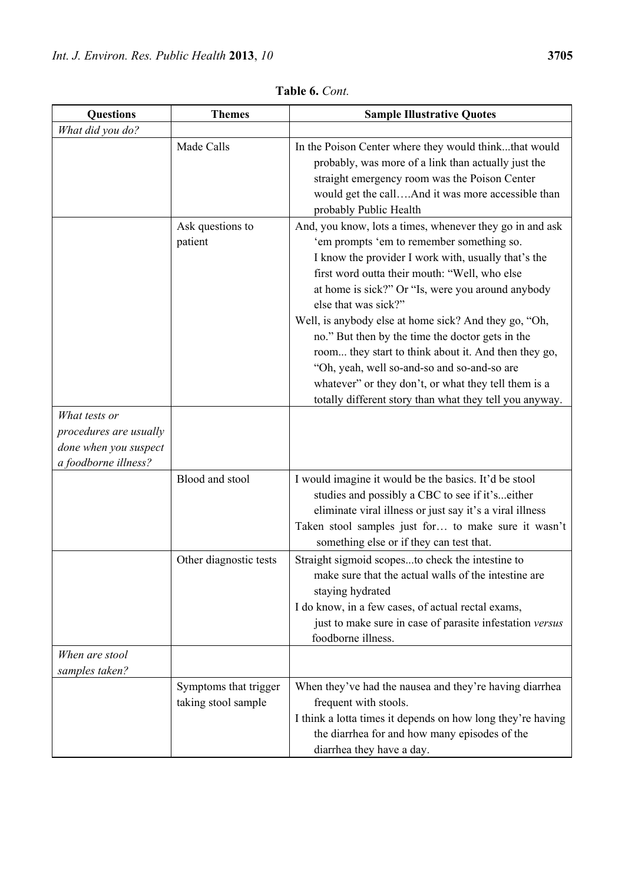| <b>Questions</b>                                                                         | <b>Themes</b>                                | <b>Sample Illustrative Quotes</b>                                                                                                                                                                                                                                                                                                                                                                                                                                                                                                                                                                                                 |
|------------------------------------------------------------------------------------------|----------------------------------------------|-----------------------------------------------------------------------------------------------------------------------------------------------------------------------------------------------------------------------------------------------------------------------------------------------------------------------------------------------------------------------------------------------------------------------------------------------------------------------------------------------------------------------------------------------------------------------------------------------------------------------------------|
| What did you do?                                                                         |                                              |                                                                                                                                                                                                                                                                                                                                                                                                                                                                                                                                                                                                                                   |
|                                                                                          | Made Calls                                   | In the Poison Center where they would thinkthat would<br>probably, was more of a link than actually just the<br>straight emergency room was the Poison Center<br>would get the callAnd it was more accessible than<br>probably Public Health                                                                                                                                                                                                                                                                                                                                                                                      |
|                                                                                          | Ask questions to<br>patient                  | And, you know, lots a times, whenever they go in and ask<br>'em prompts 'em to remember something so.<br>I know the provider I work with, usually that's the<br>first word outta their mouth: "Well, who else<br>at home is sick?" Or "Is, were you around anybody<br>else that was sick?"<br>Well, is anybody else at home sick? And they go, "Oh,<br>no." But then by the time the doctor gets in the<br>room they start to think about it. And then they go,<br>"Oh, yeah, well so-and-so and so-and-so are<br>whatever" or they don't, or what they tell them is a<br>totally different story than what they tell you anyway. |
| What tests or<br>procedures are usually<br>done when you suspect<br>a foodborne illness? |                                              |                                                                                                                                                                                                                                                                                                                                                                                                                                                                                                                                                                                                                                   |
|                                                                                          | Blood and stool                              | I would imagine it would be the basics. It'd be stool<br>studies and possibly a CBC to see if it'seither<br>eliminate viral illness or just say it's a viral illness<br>Taken stool samples just for to make sure it wasn't<br>something else or if they can test that.                                                                                                                                                                                                                                                                                                                                                           |
|                                                                                          | Other diagnostic tests                       | Straight sigmoid scopesto check the intestine to<br>make sure that the actual walls of the intestine are<br>staying hydrated<br>I do know, in a few cases, of actual rectal exams,<br>just to make sure in case of parasite infestation versus<br>foodborne illness.                                                                                                                                                                                                                                                                                                                                                              |
| When are stool<br>samples taken?                                                         |                                              |                                                                                                                                                                                                                                                                                                                                                                                                                                                                                                                                                                                                                                   |
|                                                                                          | Symptoms that trigger<br>taking stool sample | When they've had the nausea and they're having diarrhea<br>frequent with stools.<br>I think a lotta times it depends on how long they're having<br>the diarrhea for and how many episodes of the<br>diarrhea they have a day.                                                                                                                                                                                                                                                                                                                                                                                                     |

**Table 6.** *Cont.*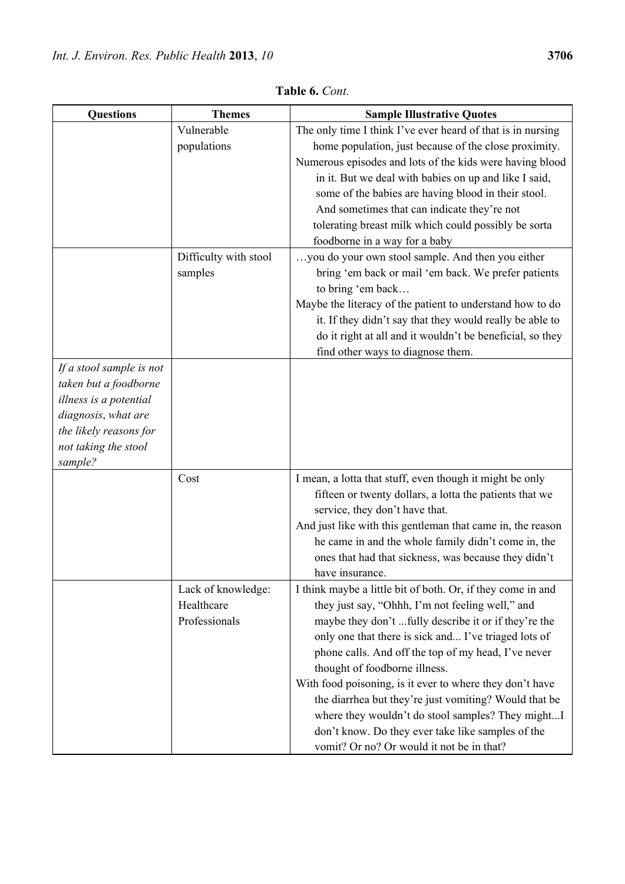| <b>Questions</b>         | <b>Themes</b>         | <b>Sample Illustrative Quotes</b>                                                         |
|--------------------------|-----------------------|-------------------------------------------------------------------------------------------|
|                          | Vulnerable            | The only time I think I've ever heard of that is in nursing                               |
|                          | populations           | home population, just because of the close proximity.                                     |
|                          |                       | Numerous episodes and lots of the kids were having blood                                  |
|                          |                       | in it. But we deal with babies on up and like I said,                                     |
|                          |                       | some of the babies are having blood in their stool.                                       |
|                          |                       | And sometimes that can indicate they're not                                               |
|                          |                       | tolerating breast milk which could possibly be sorta                                      |
|                          |                       | foodborne in a way for a baby                                                             |
|                          | Difficulty with stool | you do your own stool sample. And then you either                                         |
|                          | samples               | bring 'em back or mail 'em back. We prefer patients                                       |
|                          |                       | to bring 'em back                                                                         |
|                          |                       | Maybe the literacy of the patient to understand how to do                                 |
|                          |                       | it. If they didn't say that they would really be able to                                  |
|                          |                       | do it right at all and it wouldn't be beneficial, so they                                 |
|                          |                       | find other ways to diagnose them.                                                         |
| If a stool sample is not |                       |                                                                                           |
| taken but a foodborne    |                       |                                                                                           |
| illness is a potential   |                       |                                                                                           |
| diagnosis, what are      |                       |                                                                                           |
| the likely reasons for   |                       |                                                                                           |
| not taking the stool     |                       |                                                                                           |
| sample?                  |                       |                                                                                           |
|                          | Cost                  | I mean, a lotta that stuff, even though it might be only                                  |
|                          |                       | fifteen or twenty dollars, a lotta the patients that we<br>service, they don't have that. |
|                          |                       | And just like with this gentleman that came in, the reason                                |
|                          |                       | he came in and the whole family didn't come in, the                                       |
|                          |                       | ones that had that sickness, was because they didn't                                      |
|                          |                       | have insurance.                                                                           |
|                          | Lack of knowledge:    | I think maybe a little bit of both. Or, if they come in and                               |
|                          | Healthcare            | they just say, "Ohhh, I'm not feeling well," and                                          |
|                          | Professionals         | maybe they don't fully describe it or if they're the                                      |
|                          |                       | only one that there is sick and I've triaged lots of                                      |
|                          |                       | phone calls. And off the top of my head, I've never                                       |
|                          |                       | thought of foodborne illness.                                                             |
|                          |                       | With food poisoning, is it ever to where they don't have                                  |
|                          |                       | the diarrhea but they're just vomiting? Would that be                                     |
|                          |                       | where they wouldn't do stool samples? They mightI                                         |
|                          |                       | don't know. Do they ever take like samples of the                                         |
|                          |                       | vomit? Or no? Or would it not be in that?                                                 |

**Table 6.** *Cont.*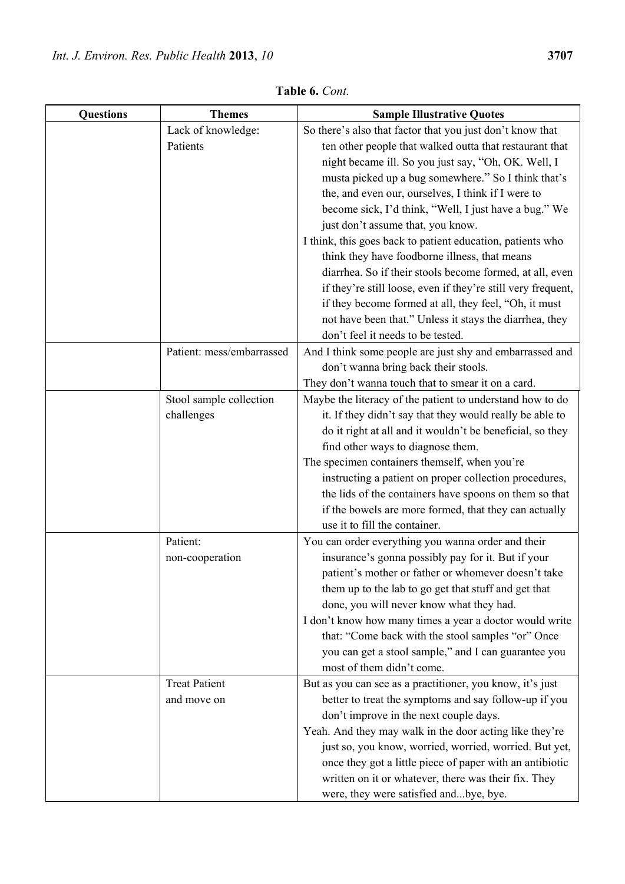| Table 6. Cont.   |                                       |                                                                                                                                                                                                                                                                                                                                                                                                                                                                                                                                                                      |
|------------------|---------------------------------------|----------------------------------------------------------------------------------------------------------------------------------------------------------------------------------------------------------------------------------------------------------------------------------------------------------------------------------------------------------------------------------------------------------------------------------------------------------------------------------------------------------------------------------------------------------------------|
| <b>Questions</b> | <b>Themes</b>                         | <b>Sample Illustrative Quotes</b>                                                                                                                                                                                                                                                                                                                                                                                                                                                                                                                                    |
|                  | Lack of knowledge:                    | So there's also that factor that you just don't know that                                                                                                                                                                                                                                                                                                                                                                                                                                                                                                            |
|                  | Patients                              | ten other people that walked outta that restaurant that<br>night became ill. So you just say, "Oh, OK. Well, I<br>musta picked up a bug somewhere." So I think that's<br>the, and even our, ourselves, I think if I were to<br>become sick, I'd think, "Well, I just have a bug." We<br>just don't assume that, you know.<br>I think, this goes back to patient education, patients who<br>think they have foodborne illness, that means<br>diarrhea. So if their stools become formed, at all, even<br>if they're still loose, even if they're still very frequent, |
|                  |                                       | if they become formed at all, they feel, "Oh, it must<br>not have been that." Unless it stays the diarrhea, they<br>don't feel it needs to be tested.                                                                                                                                                                                                                                                                                                                                                                                                                |
|                  | Patient: mess/embarrassed             | And I think some people are just shy and embarrassed and<br>don't wanna bring back their stools.<br>They don't wanna touch that to smear it on a card.                                                                                                                                                                                                                                                                                                                                                                                                               |
|                  | Stool sample collection<br>challenges | Maybe the literacy of the patient to understand how to do<br>it. If they didn't say that they would really be able to<br>do it right at all and it wouldn't be beneficial, so they<br>find other ways to diagnose them.<br>The specimen containers themself, when you're<br>instructing a patient on proper collection procedures,<br>the lids of the containers have spoons on them so that<br>if the bowels are more formed, that they can actually<br>use it to fill the container.                                                                               |
|                  | Patient:<br>non-cooperation           | You can order everything you wanna order and their<br>insurance's gonna possibly pay for it. But if your<br>patient's mother or father or whomever doesn't take<br>them up to the lab to go get that stuff and get that<br>done, you will never know what they had.                                                                                                                                                                                                                                                                                                  |

|                                     | the lids of the containers have spoons on them so that<br>if the bowels are more formed, that they can actually<br>use it to fill the container.                                                                                                                                                                                                                                                                                                                         |
|-------------------------------------|--------------------------------------------------------------------------------------------------------------------------------------------------------------------------------------------------------------------------------------------------------------------------------------------------------------------------------------------------------------------------------------------------------------------------------------------------------------------------|
| Patient:<br>non-cooperation         | You can order everything you wanna order and their<br>insurance's gonna possibly pay for it. But if your<br>patient's mother or father or whomever doesn't take<br>them up to the lab to go get that stuff and get that<br>done, you will never know what they had.<br>I don't know how many times a year a doctor would write<br>that: "Come back with the stool samples "or" Once<br>you can get a stool sample," and I can guarantee you<br>most of them didn't come. |
| <b>Treat Patient</b><br>and move on | But as you can see as a practitioner, you know, it's just<br>better to treat the symptoms and say follow-up if you<br>don't improve in the next couple days.<br>Yeah. And they may walk in the door acting like they're<br>just so, you know, worried, worried, worried. But yet,<br>once they got a little piece of paper with an antibiotic<br>written on it or whatever, there was their fix. They<br>were, they were satisfied andbye, bye.                          |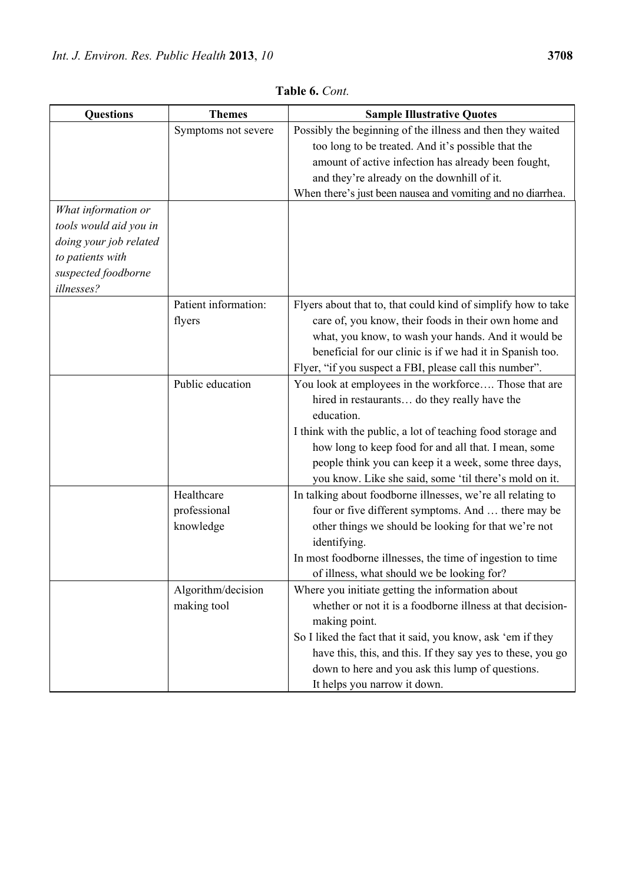| <b>Questions</b>       | <b>Themes</b>        | <b>Sample Illustrative Quotes</b>                             |
|------------------------|----------------------|---------------------------------------------------------------|
|                        | Symptoms not severe  | Possibly the beginning of the illness and then they waited    |
|                        |                      | too long to be treated. And it's possible that the            |
|                        |                      | amount of active infection has already been fought,           |
|                        |                      | and they're already on the downhill of it.                    |
|                        |                      | When there's just been nausea and vomiting and no diarrhea.   |
| What information or    |                      |                                                               |
| tools would aid you in |                      |                                                               |
| doing your job related |                      |                                                               |
| to patients with       |                      |                                                               |
| suspected foodborne    |                      |                                                               |
| illnesses?             |                      |                                                               |
|                        | Patient information: | Flyers about that to, that could kind of simplify how to take |
|                        | flyers               | care of, you know, their foods in their own home and          |
|                        |                      | what, you know, to wash your hands. And it would be           |
|                        |                      | beneficial for our clinic is if we had it in Spanish too.     |
|                        |                      | Flyer, "if you suspect a FBI, please call this number".       |
|                        | Public education     | You look at employees in the workforce Those that are         |
|                        |                      | hired in restaurants do they really have the                  |
|                        |                      | education.                                                    |
|                        |                      | I think with the public, a lot of teaching food storage and   |
|                        |                      | how long to keep food for and all that. I mean, some          |
|                        |                      | people think you can keep it a week, some three days,         |
|                        |                      | you know. Like she said, some 'til there's mold on it.        |
|                        | Healthcare           | In talking about foodborne illnesses, we're all relating to   |
|                        | professional         | four or five different symptoms. And  there may be            |
|                        | knowledge            | other things we should be looking for that we're not          |
|                        |                      | identifying.                                                  |
|                        |                      | In most foodborne illnesses, the time of ingestion to time    |
|                        |                      | of illness, what should we be looking for?                    |
|                        | Algorithm/decision   | Where you initiate getting the information about              |
|                        | making tool          | whether or not it is a foodborne illness at that decision-    |
|                        |                      | making point.                                                 |
|                        |                      | So I liked the fact that it said, you know, ask 'em if they   |
|                        |                      | have this, this, and this. If they say yes to these, you go   |
|                        |                      | down to here and you ask this lump of questions.              |
|                        |                      | It helps you narrow it down.                                  |

**Table 6.** *Cont.*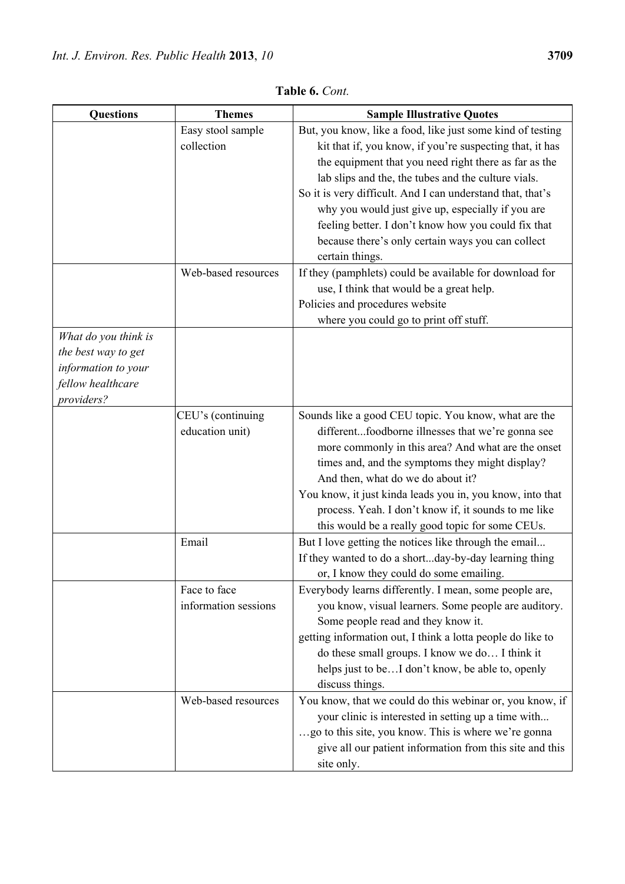| <b>Questions</b>     | <b>Themes</b>        | <b>Sample Illustrative Quotes</b>                                                                         |
|----------------------|----------------------|-----------------------------------------------------------------------------------------------------------|
|                      | Easy stool sample    | But, you know, like a food, like just some kind of testing                                                |
|                      | collection           | kit that if, you know, if you're suspecting that, it has                                                  |
|                      |                      | the equipment that you need right there as far as the                                                     |
|                      |                      | lab slips and the, the tubes and the culture vials.                                                       |
|                      |                      | So it is very difficult. And I can understand that, that's                                                |
|                      |                      | why you would just give up, especially if you are                                                         |
|                      |                      | feeling better. I don't know how you could fix that                                                       |
|                      |                      | because there's only certain ways you can collect                                                         |
|                      |                      | certain things.                                                                                           |
|                      | Web-based resources  | If they (pamphlets) could be available for download for                                                   |
|                      |                      | use, I think that would be a great help.                                                                  |
|                      |                      | Policies and procedures website                                                                           |
|                      |                      | where you could go to print off stuff.                                                                    |
| What do you think is |                      |                                                                                                           |
| the best way to get  |                      |                                                                                                           |
| information to your  |                      |                                                                                                           |
| fellow healthcare    |                      |                                                                                                           |
| providers?           |                      |                                                                                                           |
|                      | CEU's (continuing    | Sounds like a good CEU topic. You know, what are the                                                      |
|                      | education unit)      | differentfoodborne illnesses that we're gonna see                                                         |
|                      |                      | more commonly in this area? And what are the onset                                                        |
|                      |                      | times and, and the symptoms they might display?                                                           |
|                      |                      | And then, what do we do about it?                                                                         |
|                      |                      | You know, it just kinda leads you in, you know, into that                                                 |
|                      |                      | process. Yeah. I don't know if, it sounds to me like                                                      |
|                      | Email                | this would be a really good topic for some CEUs.<br>But I love getting the notices like through the email |
|                      |                      | If they wanted to do a shortday-by-day learning thing                                                     |
|                      |                      | or, I know they could do some emailing.                                                                   |
|                      | Face to face         | Everybody learns differently. I mean, some people are,                                                    |
|                      | information sessions | you know, visual learners. Some people are auditory.                                                      |
|                      |                      | Some people read and they know it.                                                                        |
|                      |                      | getting information out, I think a lotta people do like to                                                |
|                      |                      | do these small groups. I know we do I think it                                                            |
|                      |                      | helps just to beI don't know, be able to, openly                                                          |
|                      |                      | discuss things.                                                                                           |
|                      | Web-based resources  | You know, that we could do this webinar or, you know, if                                                  |
|                      |                      | your clinic is interested in setting up a time with                                                       |
|                      |                      | go to this site, you know. This is where we're gonna                                                      |
|                      |                      | give all our patient information from this site and this                                                  |

site only.

**Table 6.** *Cont.*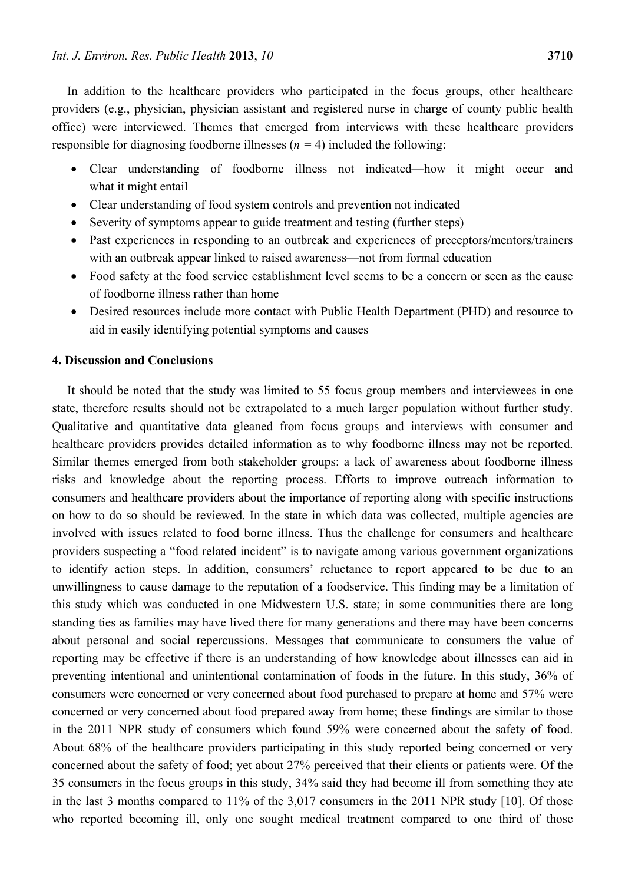In addition to the healthcare providers who participated in the focus groups, other healthcare providers (e.g., physician, physician assistant and registered nurse in charge of county public health office) were interviewed. Themes that emerged from interviews with these healthcare providers responsible for diagnosing foodborne illnesses (*n =* 4) included the following:

- Clear understanding of foodborne illness not indicated—how it might occur and what it might entail
- Clear understanding of food system controls and prevention not indicated
- Severity of symptoms appear to guide treatment and testing (further steps)
- Past experiences in responding to an outbreak and experiences of preceptors/mentors/trainers with an outbreak appear linked to raised awareness—not from formal education
- Food safety at the food service establishment level seems to be a concern or seen as the cause of foodborne illness rather than home
- Desired resources include more contact with Public Health Department (PHD) and resource to aid in easily identifying potential symptoms and causes

## **4. Discussion and Conclusions**

It should be noted that the study was limited to 55 focus group members and interviewees in one state, therefore results should not be extrapolated to a much larger population without further study. Qualitative and quantitative data gleaned from focus groups and interviews with consumer and healthcare providers provides detailed information as to why foodborne illness may not be reported. Similar themes emerged from both stakeholder groups: a lack of awareness about foodborne illness risks and knowledge about the reporting process. Efforts to improve outreach information to consumers and healthcare providers about the importance of reporting along with specific instructions on how to do so should be reviewed. In the state in which data was collected, multiple agencies are involved with issues related to food borne illness. Thus the challenge for consumers and healthcare providers suspecting a "food related incident" is to navigate among various government organizations to identify action steps. In addition, consumers' reluctance to report appeared to be due to an unwillingness to cause damage to the reputation of a foodservice. This finding may be a limitation of this study which was conducted in one Midwestern U.S. state; in some communities there are long standing ties as families may have lived there for many generations and there may have been concerns about personal and social repercussions. Messages that communicate to consumers the value of reporting may be effective if there is an understanding of how knowledge about illnesses can aid in preventing intentional and unintentional contamination of foods in the future. In this study, 36% of consumers were concerned or very concerned about food purchased to prepare at home and 57% were concerned or very concerned about food prepared away from home; these findings are similar to those in the 2011 NPR study of consumers which found 59% were concerned about the safety of food. About 68% of the healthcare providers participating in this study reported being concerned or very concerned about the safety of food; yet about 27% perceived that their clients or patients were. Of the 35 consumers in the focus groups in this study, 34% said they had become ill from something they ate in the last 3 months compared to 11% of the 3,017 consumers in the 2011 NPR study [10]. Of those who reported becoming ill, only one sought medical treatment compared to one third of those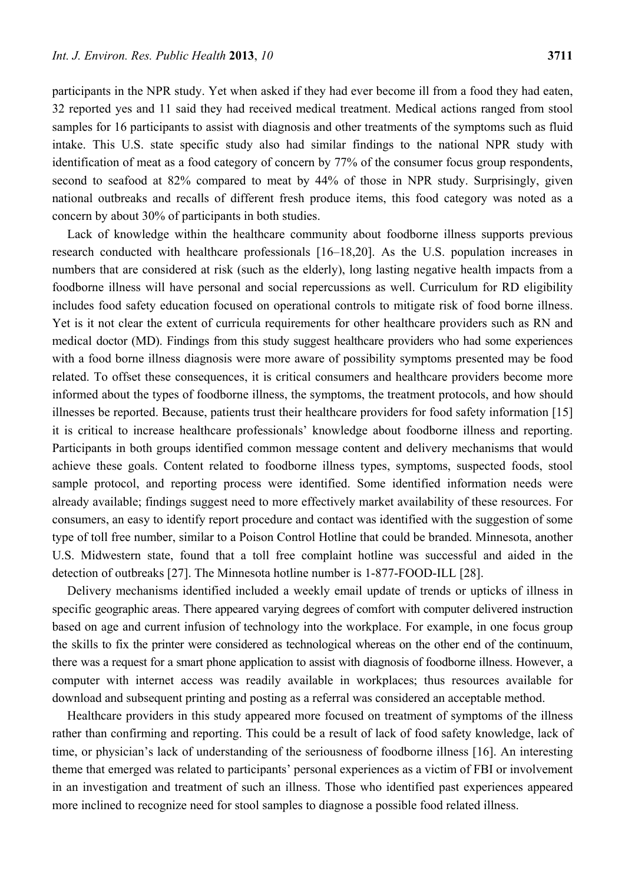participants in the NPR study. Yet when asked if they had ever become ill from a food they had eaten, 32 reported yes and 11 said they had received medical treatment. Medical actions ranged from stool samples for 16 participants to assist with diagnosis and other treatments of the symptoms such as fluid intake. This U.S. state specific study also had similar findings to the national NPR study with identification of meat as a food category of concern by 77% of the consumer focus group respondents, second to seafood at 82% compared to meat by 44% of those in NPR study. Surprisingly, given national outbreaks and recalls of different fresh produce items, this food category was noted as a concern by about 30% of participants in both studies.

Lack of knowledge within the healthcare community about foodborne illness supports previous research conducted with healthcare professionals [16–18,20]. As the U.S. population increases in numbers that are considered at risk (such as the elderly), long lasting negative health impacts from a foodborne illness will have personal and social repercussions as well. Curriculum for RD eligibility includes food safety education focused on operational controls to mitigate risk of food borne illness. Yet is it not clear the extent of curricula requirements for other healthcare providers such as RN and medical doctor (MD). Findings from this study suggest healthcare providers who had some experiences with a food borne illness diagnosis were more aware of possibility symptoms presented may be food related. To offset these consequences, it is critical consumers and healthcare providers become more informed about the types of foodborne illness, the symptoms, the treatment protocols, and how should illnesses be reported. Because, patients trust their healthcare providers for food safety information [15] it is critical to increase healthcare professionals' knowledge about foodborne illness and reporting. Participants in both groups identified common message content and delivery mechanisms that would achieve these goals. Content related to foodborne illness types, symptoms, suspected foods, stool sample protocol, and reporting process were identified. Some identified information needs were already available; findings suggest need to more effectively market availability of these resources. For consumers, an easy to identify report procedure and contact was identified with the suggestion of some type of toll free number, similar to a Poison Control Hotline that could be branded. Minnesota, another U.S. Midwestern state, found that a toll free complaint hotline was successful and aided in the detection of outbreaks [27]. The Minnesota hotline number is 1-877-FOOD-ILL [28].

Delivery mechanisms identified included a weekly email update of trends or upticks of illness in specific geographic areas. There appeared varying degrees of comfort with computer delivered instruction based on age and current infusion of technology into the workplace. For example, in one focus group the skills to fix the printer were considered as technological whereas on the other end of the continuum, there was a request for a smart phone application to assist with diagnosis of foodborne illness. However, a computer with internet access was readily available in workplaces; thus resources available for download and subsequent printing and posting as a referral was considered an acceptable method.

Healthcare providers in this study appeared more focused on treatment of symptoms of the illness rather than confirming and reporting. This could be a result of lack of food safety knowledge, lack of time, or physician's lack of understanding of the seriousness of foodborne illness [16]. An interesting theme that emerged was related to participants' personal experiences as a victim of FBI or involvement in an investigation and treatment of such an illness. Those who identified past experiences appeared more inclined to recognize need for stool samples to diagnose a possible food related illness.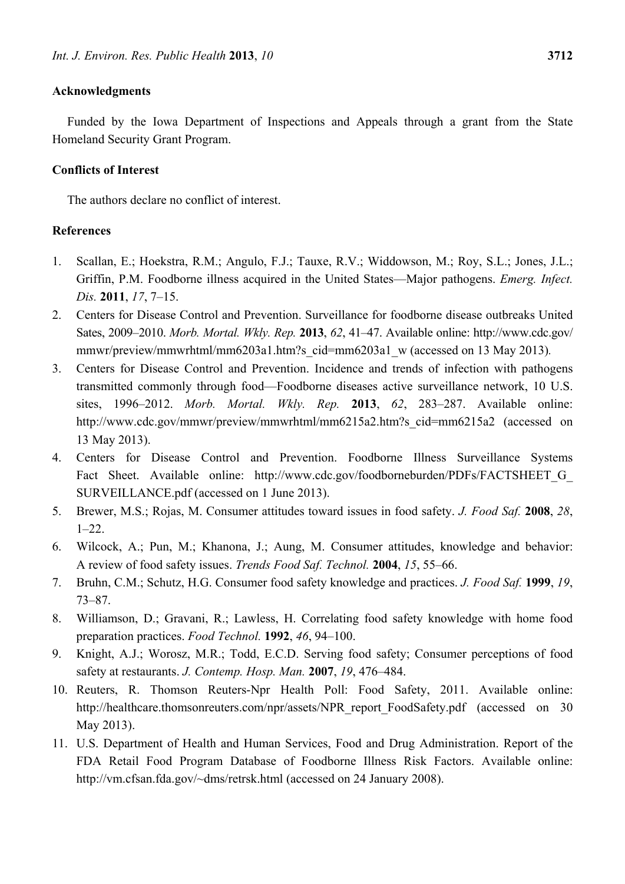## **Acknowledgments**

Funded by the Iowa Department of Inspections and Appeals through a grant from the State Homeland Security Grant Program.

## **Conflicts of Interest**

The authors declare no conflict of interest.

## **References**

- 1. Scallan, E.; Hoekstra, R.M.; Angulo, F.J.; Tauxe, R.V.; Widdowson, M.; Roy, S.L.; Jones, J.L.; Griffin, P.M. Foodborne illness acquired in the United States—Major pathogens. *Emerg. Infect. Dis.* **2011**, *17*, 7–15.
- 2. Centers for Disease Control and Prevention. Surveillance for foodborne disease outbreaks United Sates, 2009–2010. *Morb. Mortal. Wkly. Rep.* **2013**, *62*, 41–47. Available online: http://www.cdc.gov/ mmwr/preview/mmwrhtml/mm6203a1.htm?s\_cid=mm6203a1\_w (accessed on 13 May 2013)*.*
- 3. Centers for Disease Control and Prevention. Incidence and trends of infection with pathogens transmitted commonly through food—Foodborne diseases active surveillance network, 10 U.S. sites, 1996–2012. *Morb. Mortal. Wkly. Rep.* **2013**, *62*, 283–287. Available online: http://www.cdc.gov/mmwr/preview/mmwrhtml/mm6215a2.htm?s\_cid=mm6215a2 (accessed on 13 May 2013).
- 4. Centers for Disease Control and Prevention. Foodborne Illness Surveillance Systems Fact Sheet. Available online: http://www.cdc.gov/foodborneburden/PDFs/FACTSHEET G SURVEILLANCE.pdf (accessed on 1 June 2013).
- 5. Brewer, M.S.; Rojas, M. Consumer attitudes toward issues in food safety. *J. Food Saf.* **2008**, *28*,  $1-22$ .
- 6. Wilcock, A.; Pun, M.; Khanona, J.; Aung, M. Consumer attitudes, knowledge and behavior: A review of food safety issues. *Trends Food Saf. Technol.* **2004**, *15*, 55–66.
- 7. Bruhn, C.M.; Schutz, H.G. Consumer food safety knowledge and practices. *J. Food Saf.* **1999**, *19*, 73–87.
- 8. Williamson, D.; Gravani, R.; Lawless, H. Correlating food safety knowledge with home food preparation practices. *Food Technol.* **1992**, *46*, 94–100.
- 9. Knight, A.J.; Worosz, M.R.; Todd, E.C.D. Serving food safety; Consumer perceptions of food safety at restaurants. *J. Contemp. Hosp. Man.* **2007**, *19*, 476–484.
- 10. Reuters, R. Thomson Reuters-Npr Health Poll: Food Safety, 2011. Available online: http://healthcare.thomsonreuters.com/npr/assets/NPR\_report\_FoodSafety.pdf (accessed on 30) May 2013).
- 11. U.S. Department of Health and Human Services, Food and Drug Administration. Report of the FDA Retail Food Program Database of Foodborne Illness Risk Factors. Available online: http://vm.cfsan.fda.gov/~dms/retrsk.html (accessed on 24 January 2008).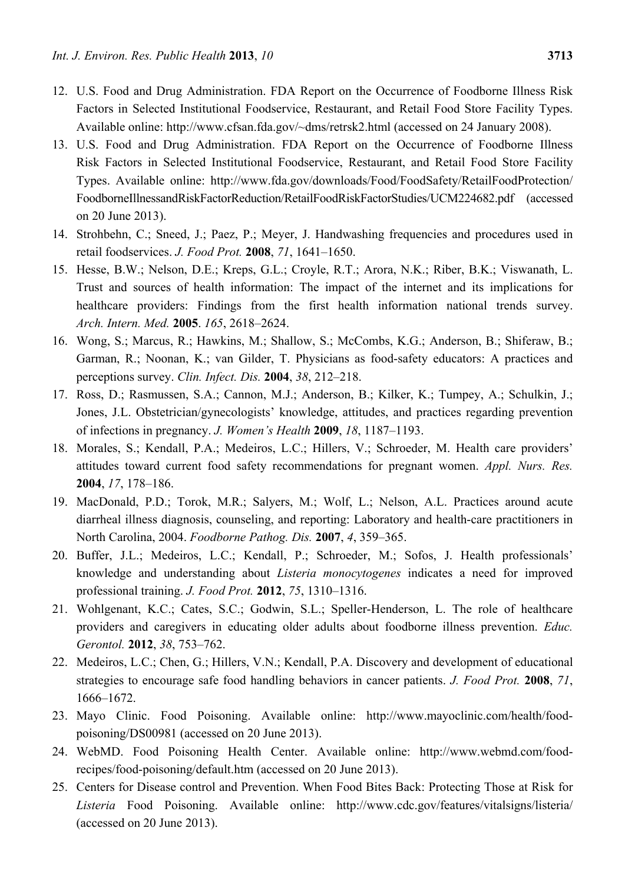- 12. U.S. Food and Drug Administration. FDA Report on the Occurrence of Foodborne Illness Risk Factors in Selected Institutional Foodservice, Restaurant, and Retail Food Store Facility Types. Available online: http://www.cfsan.fda.gov/~dms/retrsk2.html (accessed on 24 January 2008).
- 13. U.S. Food and Drug Administration. FDA Report on the Occurrence of Foodborne Illness Risk Factors in Selected Institutional Foodservice, Restaurant, and Retail Food Store Facility Types. Available online: http://www.fda.gov/downloads/Food/FoodSafety/RetailFoodProtection/ FoodborneIllnessandRiskFactorReduction/RetailFoodRiskFactorStudies/UCM224682.pdf (accessed on 20 June 2013).
- 14. Strohbehn, C.; Sneed, J.; Paez, P.; Meyer, J. Handwashing frequencies and procedures used in retail foodservices. *J. Food Prot.* **2008**, *71*, 1641–1650.
- 15. Hesse, B.W.; Nelson, D.E.; Kreps, G.L.; Croyle, R.T.; Arora, N.K.; Riber, B.K.; Viswanath, L. Trust and sources of health information: The impact of the internet and its implications for healthcare providers: Findings from the first health information national trends survey. *Arch. Intern. Med.* **2005**. *165*, 2618–2624.
- 16. Wong, S.; Marcus, R.; Hawkins, M.; Shallow, S.; McCombs, K.G.; Anderson, B.; Shiferaw, B.; Garman, R.; Noonan, K.; van Gilder, T. Physicians as food-safety educators: A practices and perceptions survey. *Clin. Infect. Dis.* **2004**, *38*, 212–218.
- 17. Ross, D.; Rasmussen, S.A.; Cannon, M.J.; Anderson, B.; Kilker, K.; Tumpey, A.; Schulkin, J.; Jones, J.L. Obstetrician/gynecologists' knowledge, attitudes, and practices regarding prevention of infections in pregnancy. *J. Women's Health* **2009**, *18*, 1187–1193.
- 18. Morales, S.; Kendall, P.A.; Medeiros, L.C.; Hillers, V.; Schroeder, M. Health care providers' attitudes toward current food safety recommendations for pregnant women. *Appl. Nurs. Res.*  **2004**, *17*, 178–186.
- 19. MacDonald, P.D.; Torok, M.R.; Salyers, M.; Wolf, L.; Nelson, A.L. Practices around acute diarrheal illness diagnosis, counseling, and reporting: Laboratory and health-care practitioners in North Carolina, 2004. *Foodborne Pathog. Dis.* **2007**, *4*, 359–365.
- 20. Buffer, J.L.; Medeiros, L.C.; Kendall, P.; Schroeder, M.; Sofos, J. Health professionals' knowledge and understanding about *Listeria monocytogenes* indicates a need for improved professional training. *J. Food Prot.* **2012**, *75*, 1310–1316.
- 21. Wohlgenant, K.C.; Cates, S.C.; Godwin, S.L.; Speller-Henderson, L. The role of healthcare providers and caregivers in educating older adults about foodborne illness prevention. *Educ. Gerontol.* **2012**, *38*, 753–762.
- 22. Medeiros, L.C.; Chen, G.; Hillers, V.N.; Kendall, P.A. Discovery and development of educational strategies to encourage safe food handling behaviors in cancer patients. *J. Food Prot.* **2008**, *71*, 1666–1672.
- 23. Mayo Clinic. Food Poisoning. Available online: http://www.mayoclinic.com/health/foodpoisoning/DS00981 (accessed on 20 June 2013).
- 24. WebMD. Food Poisoning Health Center. Available online: http://www.webmd.com/foodrecipes/food-poisoning/default.htm (accessed on 20 June 2013).
- 25. Centers for Disease control and Prevention. When Food Bites Back: Protecting Those at Risk for *Listeria* Food Poisoning. Available online: http://www.cdc.gov/features/vitalsigns/listeria/ (accessed on 20 June 2013).